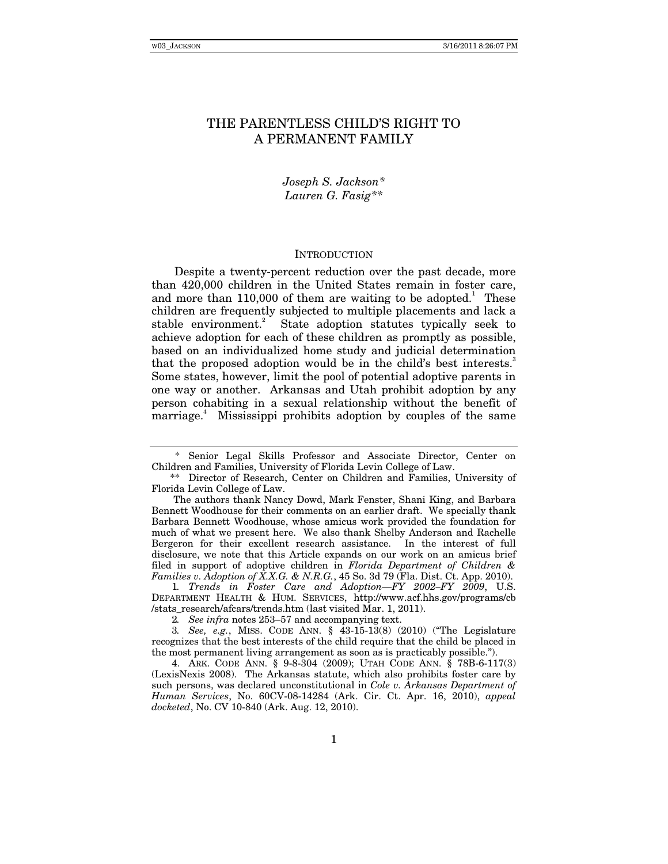# THE PARENTLESS CHILD'S RIGHT TO A PERMANENT FAMILY

# *Joseph S. Jackson\* Lauren G. Fasig\*\**

#### INTRODUCTION

Despite a twenty-percent reduction over the past decade, more than 420,000 children in the United States remain in foster care, and more than  $110,000$  of them are waiting to be adopted.<sup>1</sup> These children are frequently subjected to multiple placements and lack a stable environment.<sup>2</sup> State adoption statutes typically seek to achieve adoption for each of these children as promptly as possible, based on an individualized home study and judicial determination that the proposed adoption would be in the child's best interests. Some states, however, limit the pool of potential adoptive parents in one way or another. Arkansas and Utah prohibit adoption by any person cohabiting in a sexual relationship without the benefit of marriage.<sup>4</sup> Mississippi prohibits adoption by couples of the same

1*. Trends in Foster Care and Adoption—FY 2002–FY 2009*, U.S. DEPARTMENT HEALTH & HUM. SERVICES, http://www.acf.hhs.gov/programs/cb /stats\_research/afcars/trends.htm (last visited Mar. 1, 2011).

 <sup>\*</sup> Senior Legal Skills Professor and Associate Director, Center on Children and Families, University of Florida Levin College of Law.

<sup>\*\*</sup> Director of Research, Center on Children and Families, University of Florida Levin College of Law.

The authors thank Nancy Dowd, Mark Fenster, Shani King, and Barbara Bennett Woodhouse for their comments on an earlier draft. We specially thank Barbara Bennett Woodhouse, whose amicus work provided the foundation for much of what we present here. We also thank Shelby Anderson and Rachelle Bergeron for their excellent research assistance. In the interest of full disclosure, we note that this Article expands on our work on an amicus brief filed in support of adoptive children in *Florida Department of Children & Families v. Adoption of X.X.G. & N.R.G.*, 45 So. 3d 79 (Fla. Dist. Ct. App. 2010).

<sup>2</sup>*. See infra* notes 253–57 and accompanying text.

<sup>3</sup>*. See, e.g.*, MISS. CODE ANN. § 43-15-13(8) (2010) ("The Legislature recognizes that the best interests of the child require that the child be placed in the most permanent living arrangement as soon as is practicably possible.").

 <sup>4.</sup> ARK. CODE ANN. § 9-8-304 (2009); UTAH CODE ANN. § 78B-6-117(3) (LexisNexis 2008). The Arkansas statute, which also prohibits foster care by such persons, was declared unconstitutional in *Cole v. Arkansas Department of Human Services*, No. 60CV-08-14284 (Ark. Cir. Ct. Apr. 16, 2010), *appeal docketed*, No. CV 10-840 (Ark. Aug. 12, 2010).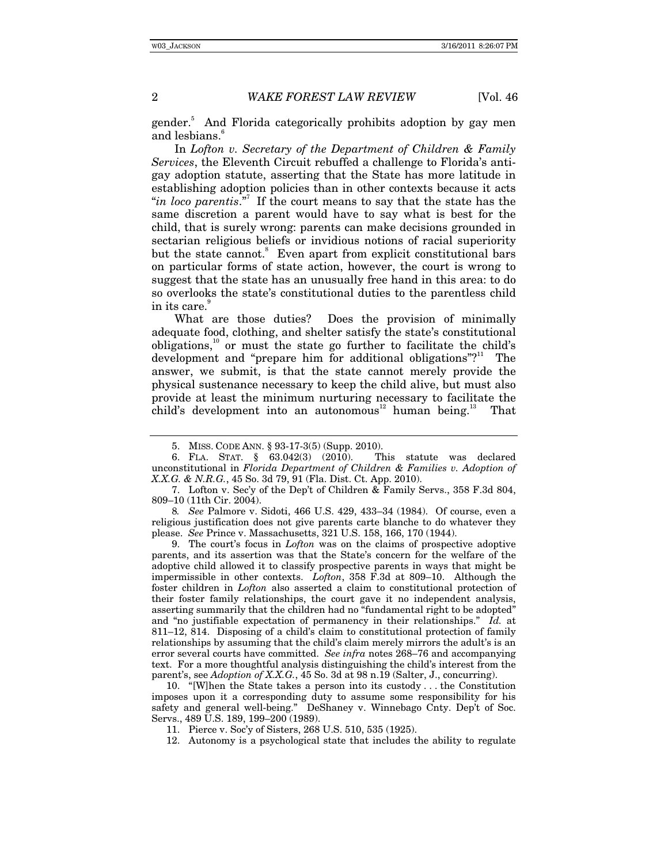gender.<sup>5</sup> And Florida categorically prohibits adoption by gay men and lesbians.<sup>o</sup>

In *Lofton v. Secretary of the Department of Children & Family Services*, the Eleventh Circuit rebuffed a challenge to Florida's antigay adoption statute, asserting that the State has more latitude in establishing adoption policies than in other contexts because it acts "*in loco parentis*."7 If the court means to say that the state has the same discretion a parent would have to say what is best for the child, that is surely wrong: parents can make decisions grounded in sectarian religious beliefs or invidious notions of racial superiority but the state cannot.<sup>8</sup> Even apart from explicit constitutional bars on particular forms of state action, however, the court is wrong to suggest that the state has an unusually free hand in this area: to do so overlooks the state's constitutional duties to the parentless child in its care.<sup>9</sup>

What are those duties? Does the provision of minimally adequate food, clothing, and shelter satisfy the state's constitutional obligations, $10$  or must the state go further to facilitate the child's development and "prepare him for additional obligations"?<sup>11</sup> The answer, we submit, is that the state cannot merely provide the physical sustenance necessary to keep the child alive, but must also provide at least the minimum nurturing necessary to facilitate the child's development into an autonomous<sup>12</sup> human being.<sup>13</sup> That

8*. See* Palmore v. Sidoti, 466 U.S. 429, 433–34 (1984). Of course, even a religious justification does not give parents carte blanche to do whatever they please. *See* Prince v. Massachusetts, 321 U.S. 158, 166, 170 (1944).

 9. The court's focus in *Lofton* was on the claims of prospective adoptive parents, and its assertion was that the State's concern for the welfare of the adoptive child allowed it to classify prospective parents in ways that might be impermissible in other contexts. *Lofton*, 358 F.3d at 809–10. Although the foster children in *Lofton* also asserted a claim to constitutional protection of their foster family relationships, the court gave it no independent analysis, asserting summarily that the children had no "fundamental right to be adopted" and "no justifiable expectation of permanency in their relationships." *Id.* at 811–12, 814. Disposing of a child's claim to constitutional protection of family relationships by assuming that the child's claim merely mirrors the adult's is an error several courts have committed. *See infra* notes 268–76 and accompanying text. For a more thoughtful analysis distinguishing the child's interest from the parent's, see *Adoption of X.X.G.*, 45 So. 3d at 98 n.19 (Salter, J., concurring).

 10. "[W]hen the State takes a person into its custody . . . the Constitution imposes upon it a corresponding duty to assume some responsibility for his safety and general well-being." DeShaney v. Winnebago Cnty. Dep't of Soc. Servs., 489 U.S. 189, 199–200 (1989).

11. Pierce v. Soc'y of Sisters, 268 U.S. 510, 535 (1925).

 <sup>5.</sup> MISS. CODE ANN. § 93-17-3(5) (Supp. 2010).

 <sup>6.</sup> FLA. STAT. § 63.042(3) (2010). This statute was declared unconstitutional in *Florida Department of Children & Families v. Adoption of X.X.G. & N.R.G.*, 45 So. 3d 79, 91 (Fla. Dist. Ct. App. 2010).

 <sup>7.</sup> Lofton v. Sec'y of the Dep't of Children & Family Servs., 358 F.3d 804, 809–10 (11th Cir. 2004).

 <sup>12.</sup> Autonomy is a psychological state that includes the ability to regulate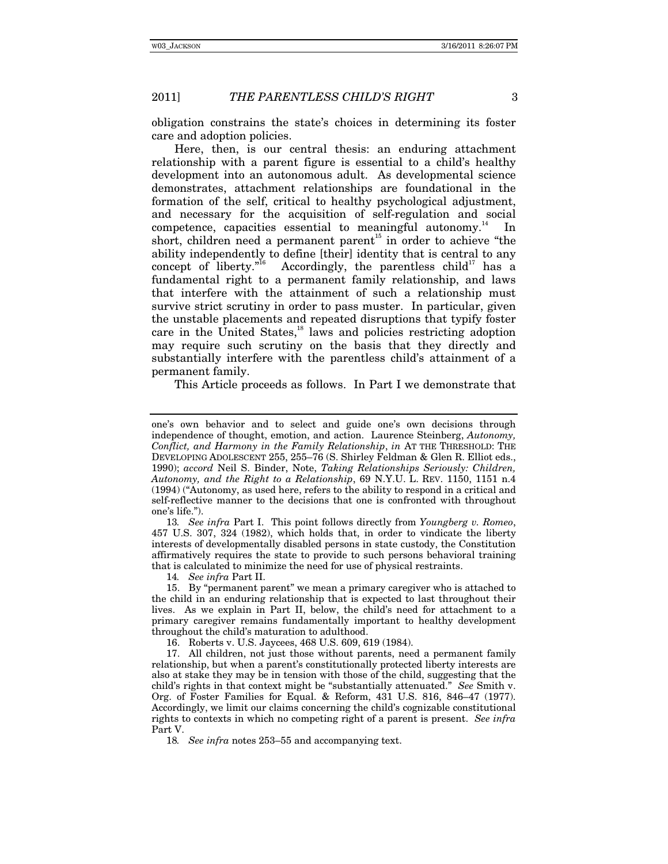obligation constrains the state's choices in determining its foster care and adoption policies.

Here, then, is our central thesis: an enduring attachment relationship with a parent figure is essential to a child's healthy development into an autonomous adult. As developmental science demonstrates, attachment relationships are foundational in the formation of the self, critical to healthy psychological adjustment, and necessary for the acquisition of self-regulation and social competence, capacities essential to meaningful autonomy.<sup>14</sup> In short, children need a permanent parent<sup>15</sup> in order to achieve "the ability independently to define [their] identity that is central to any concept of liberty."<sup>16</sup> Accordingly, the parentless child<sup>17</sup> has a fundamental right to a permanent family relationship, and laws that interfere with the attainment of such a relationship must survive strict scrutiny in order to pass muster. In particular, given the unstable placements and repeated disruptions that typify foster care in the United States,<sup>18</sup> laws and policies restricting adoption may require such scrutiny on the basis that they directly and substantially interfere with the parentless child's attainment of a permanent family.

This Article proceeds as follows. In Part I we demonstrate that

13*. See infra* Part I. This point follows directly from *Youngberg v. Romeo*, 457 U.S. 307, 324 (1982), which holds that, in order to vindicate the liberty interests of developmentally disabled persons in state custody, the Constitution affirmatively requires the state to provide to such persons behavioral training that is calculated to minimize the need for use of physical restraints.

14*. See infra* Part II.

 15. By "permanent parent" we mean a primary caregiver who is attached to the child in an enduring relationship that is expected to last throughout their lives. As we explain in Part II, below, the child's need for attachment to a primary caregiver remains fundamentally important to healthy development throughout the child's maturation to adulthood.

16. Roberts v. U.S. Jaycees, 468 U.S. 609, 619 (1984).

 17. All children, not just those without parents, need a permanent family relationship, but when a parent's constitutionally protected liberty interests are also at stake they may be in tension with those of the child, suggesting that the child's rights in that context might be "substantially attenuated." *See* Smith v. Org. of Foster Families for Equal. & Reform, 431 U.S. 816, 846–47 (1977). Accordingly, we limit our claims concerning the child's cognizable constitutional rights to contexts in which no competing right of a parent is present. *See infra* Part V.

18*. See infra* notes 253–55 and accompanying text.

one's own behavior and to select and guide one's own decisions through independence of thought, emotion, and action. Laurence Steinberg, *Autonomy, Conflict, and Harmony in the Family Relationship*, *in* AT THE THRESHOLD: THE DEVELOPING ADOLESCENT 255, 255–76 (S. Shirley Feldman & Glen R. Elliot eds., 1990); *accord* Neil S. Binder, Note, *Taking Relationships Seriously: Children, Autonomy, and the Right to a Relationship*, 69 N.Y.U. L. REV. 1150, 1151 n.4 (1994) ("Autonomy, as used here, refers to the ability to respond in a critical and self-reflective manner to the decisions that one is confronted with throughout one's life.").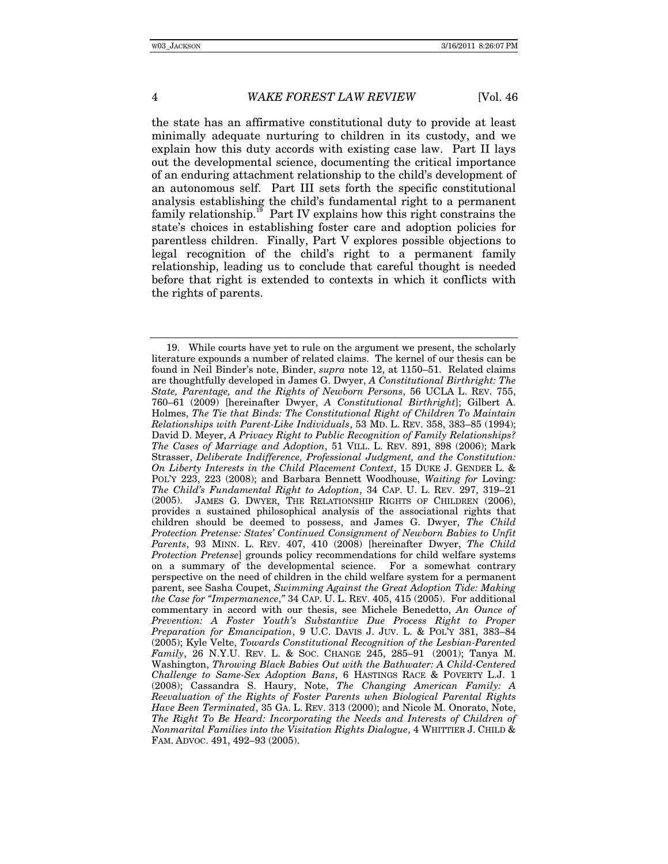the state has an affirmative constitutional duty to provide at least minimally adequate nurturing to children in its custody, and we explain how this duty accords with existing case law. Part II lays out the developmental science, documenting the critical importance of an enduring attachment relationship to the child's development of an autonomous self. Part III sets forth the specific constitutional analysis establishing the child's fundamental right to a permanent family relationship.<sup>19</sup> Part IV explains how this right constrains the state's choices in establishing foster care and adoption policies for parentless children. Finally, Part V explores possible objections to legal recognition of the child's right to a permanent family relationship, leading us to conclude that careful thought is needed before that right is extended to contexts in which it conflicts with the rights of parents.

 <sup>19.</sup> While courts have yet to rule on the argument we present, the scholarly literature expounds a number of related claims. The kernel of our thesis can be found in Neil Binder's note, Binder, *supra* note 12, at 1150–51. Related claims are thoughtfully developed in James G. Dwyer, *A Constitutional Birthright: The State, Parentage, and the Rights of Newborn Persons*, 56 UCLA L. REV. 755, 760–61 (2009) [hereinafter Dwyer, *A Constitutional Birthright*]; Gilbert A. Holmes, *The Tie that Binds: The Constitutional Right of Children To Maintain Relationships with Parent-Like Individuals*, 53 MD. L. REV. 358, 383–85 (1994); David D. Meyer, *A Privacy Right to Public Recognition of Family Relationships? The Cases of Marriage and Adoption*, 51 VILL. L. REV. 891, 898 (2006); Mark Strasser, *Deliberate Indifference, Professional Judgment, and the Constitution: On Liberty Interests in the Child Placement Context*, 15 DUKE J. GENDER L. & POL'Y 223, 223 (2008); and Barbara Bennett Woodhouse, *Waiting for* Loving*: The Child's Fundamental Right to Adoption*, 34 CAP. U. L. REV. 297, 319–21 (2005). JAMES G. DWYER, THE RELATIONSHIP RIGHTS OF CHILDREN (2006), provides a sustained philosophical analysis of the associational rights that children should be deemed to possess, and James G. Dwyer, *The Child Protection Pretense: States' Continued Consignment of Newborn Babies to Unfit Parents*, 93 MINN. L. REV. 407, 410 (2008) [hereinafter Dwyer, *The Child Protection Pretense*] grounds policy recommendations for child welfare systems on a summary of the developmental science. For a somewhat contrary perspective on the need of children in the child welfare system for a permanent parent, see Sasha Coupet, *Swimming Against the Great Adoption Tide: Making the Case for "Impermanence*,*"* 34 CAP. U. L. REV. 405, 415 (2005). For additional commentary in accord with our thesis, see Michele Benedetto, *An Ounce of Prevention: A Foster Youth's Substantive Due Process Right to Proper Preparation for Emancipation*, 9 U.C. DAVIS J. JUV. L. & POL'Y 381, 383–84 (2005); Kyle Velte, *Towards Constitutional Recognition of the Lesbian-Parented Family*, 26 N.Y.U. REV. L. & SOC. CHANGE 245, 285–91 (2001); Tanya M. Washington, *Throwing Black Babies Out with the Bathwater: A Child-Centered Challenge to Same-Sex Adoption Bans*, 6 HASTINGS RACE & POVERTY L.J. 1 (2008); Cassandra S. Haury, Note, *The Changing American Family: A Reevaluation of the Rights of Foster Parents when Biological Parental Rights Have Been Terminated*, 35 GA. L. REV. 313 (2000); and Nicole M. Onorato, Note, *The Right To Be Heard: Incorporating the Needs and Interests of Children of Nonmarital Families into the Visitation Rights Dialogue*, 4 WHITTIER J. CHILD & FAM. ADVOC. 491, 492–93 (2005).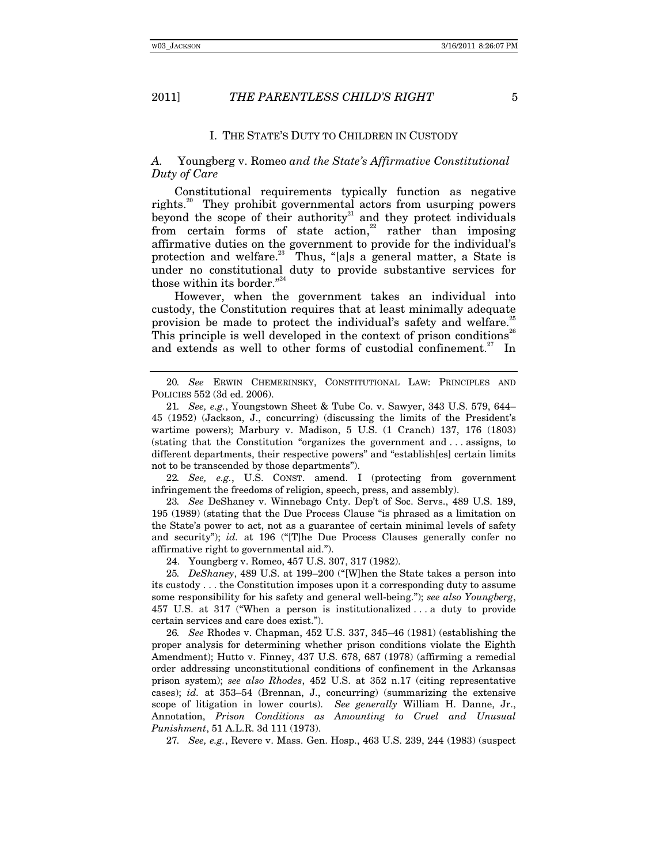#### I. THE STATE'S DUTY TO CHILDREN IN CUSTODY

## *A.* Youngberg v. Romeo *and the State's Affirmative Constitutional Duty of Care*

Constitutional requirements typically function as negative rights.<sup>20</sup> They prohibit governmental actors from usurping powers beyond the scope of their authority<sup>21</sup> and they protect individuals from certain forms of state action,<sup>22</sup> rather than imposing affirmative duties on the government to provide for the individual's protection and welfare.<sup>23</sup> Thus, "[a]s a general matter, a State is under no constitutional duty to provide substantive services for those within its border."<sup>24</sup>

However, when the government takes an individual into custody, the Constitution requires that at least minimally adequate provision be made to protect the individual's safety and welfare.<sup>2</sup> This principle is well developed in the context of prison conditions<sup>26</sup> and extends as well to other forms of custodial confinement.<sup>27</sup> In

22*. See, e.g.*, U.S. CONST. amend. I (protecting from government infringement the freedoms of religion, speech, press, and assembly).

23*. See* DeShaney v. Winnebago Cnty. Dep't of Soc. Servs., 489 U.S. 189, 195 (1989) (stating that the Due Process Clause "is phrased as a limitation on the State's power to act, not as a guarantee of certain minimal levels of safety and security"); *id.* at 196 ("[T]he Due Process Clauses generally confer no affirmative right to governmental aid.").

24. Youngberg v. Romeo, 457 U.S. 307, 317 (1982).

25*. DeShaney*, 489 U.S. at 199–200 ("[W]hen the State takes a person into its custody . . . the Constitution imposes upon it a corresponding duty to assume some responsibility for his safety and general well-being."); *see also Youngberg*, 457 U.S. at 317 ("When a person is institutionalized . . . a duty to provide certain services and care does exist.").

26*. See* Rhodes v. Chapman, 452 U.S. 337, 345–46 (1981) (establishing the proper analysis for determining whether prison conditions violate the Eighth Amendment); Hutto v. Finney, 437 U.S. 678, 687 (1978) (affirming a remedial order addressing unconstitutional conditions of confinement in the Arkansas prison system); *see also Rhodes*, 452 U.S. at 352 n.17 (citing representative cases); *id.* at 353–54 (Brennan, J., concurring) (summarizing the extensive scope of litigation in lower courts). *See generally* William H. Danne, Jr., Annotation, *Prison Conditions as Amounting to Cruel and Unusual Punishment*, 51 A.L.R. 3d 111 (1973).

27*. See, e.g.*, Revere v. Mass. Gen. Hosp., 463 U.S. 239, 244 (1983) (suspect

<sup>20</sup>*. See* ERWIN CHEMERINSKY, CONSTITUTIONAL LAW: PRINCIPLES AND POLICIES 552 (3d ed. 2006).

<sup>21</sup>*. See, e.g.*, Youngstown Sheet & Tube Co. v. Sawyer, 343 U.S. 579, 644– 45 (1952) (Jackson, J., concurring) (discussing the limits of the President's wartime powers); Marbury v. Madison, 5 U.S. (1 Cranch) 137, 176 (1803) (stating that the Constitution "organizes the government and . . . assigns, to different departments, their respective powers" and "establish[es] certain limits not to be transcended by those departments").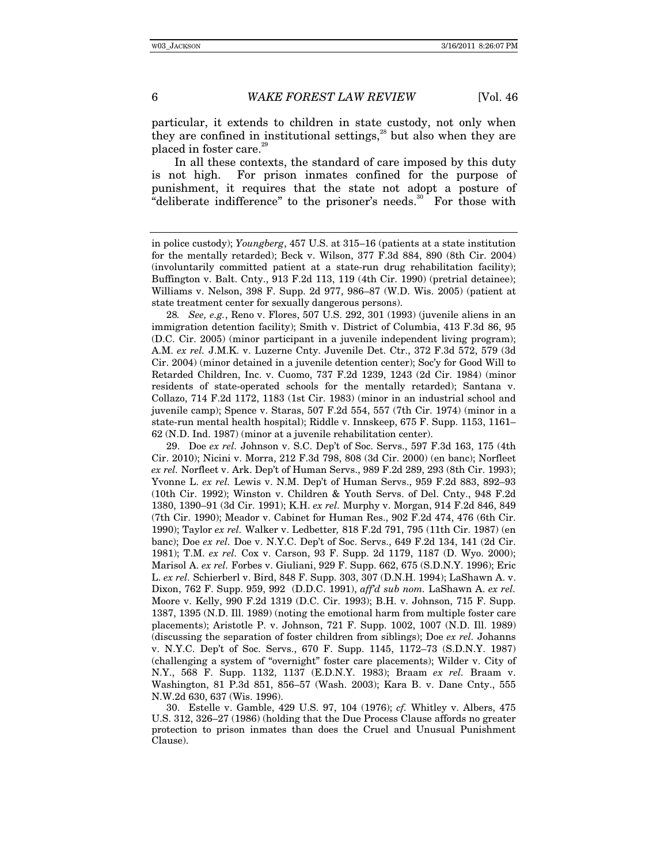particular, it extends to children in state custody, not only when they are confined in institutional settings, $28$  but also when they are placed in foster care.<sup>26</sup>

In all these contexts, the standard of care imposed by this duty is not high. For prison inmates confined for the purpose of punishment, it requires that the state not adopt a posture of "deliberate indifference" to the prisoner's needs. $30$  For those with

28*. See, e.g.*, Reno v. Flores, 507 U.S. 292, 301 (1993) (juvenile aliens in an immigration detention facility); Smith v. District of Columbia, 413 F.3d 86, 95 (D.C. Cir. 2005) (minor participant in a juvenile independent living program); A.M. *ex rel.* J.M.K. v. Luzerne Cnty. Juvenile Det. Ctr., 372 F.3d 572, 579 (3d Cir. 2004) (minor detained in a juvenile detention center); Soc'y for Good Will to Retarded Children, Inc. v. Cuomo, 737 F.2d 1239, 1243 (2d Cir. 1984) (minor residents of state-operated schools for the mentally retarded); Santana v. Collazo, 714 F.2d 1172, 1183 (1st Cir. 1983) (minor in an industrial school and juvenile camp); Spence v. Staras, 507 F.2d 554, 557 (7th Cir. 1974) (minor in a state-run mental health hospital); Riddle v. Innskeep, 675 F. Supp. 1153, 1161– 62 (N.D. Ind. 1987) (minor at a juvenile rehabilitation center).

 29. Doe *ex rel.* Johnson v. S.C. Dep't of Soc. Servs., 597 F.3d 163, 175 (4th Cir. 2010); Nicini v. Morra, 212 F.3d 798, 808 (3d Cir. 2000) (en banc); Norfleet *ex rel.* Norfleet v. Ark. Dep't of Human Servs., 989 F.2d 289, 293 (8th Cir. 1993); Yvonne L. *ex rel.* Lewis v. N.M. Dep't of Human Servs., 959 F.2d 883, 892–93 (10th Cir. 1992); Winston v. Children & Youth Servs. of Del. Cnty., 948 F.2d 1380, 1390–91 (3d Cir. 1991); K.H. *ex rel.* Murphy v. Morgan, 914 F.2d 846, 849 (7th Cir. 1990); Meador v. Cabinet for Human Res., 902 F.2d 474, 476 (6th Cir. 1990); Taylor *ex rel.* Walker v. Ledbetter*,* 818 F.2d 791, 795 (11th Cir. 1987) (en banc); Doe *ex rel.* Doe v. N.Y.C. Dep't of Soc. Servs., 649 F.2d 134, 141 (2d Cir. 1981); T.M. *ex rel.* Cox v. Carson, 93 F. Supp. 2d 1179, 1187 (D. Wyo. 2000); Marisol A. *ex rel.* Forbes v. Giuliani, 929 F. Supp. 662, 675 (S.D.N.Y. 1996); Eric L. *ex rel.* Schierberl v. Bird, 848 F. Supp. 303, 307 (D.N.H. 1994); LaShawn A. v. Dixon, 762 F. Supp. 959, 992 (D.D.C. 1991), *aff'd sub nom.* LaShawn A. *ex rel.* Moore v. Kelly, 990 F.2d 1319 (D.C. Cir. 1993); B.H. v. Johnson, 715 F. Supp. 1387, 1395 (N.D. Ill. 1989) (noting the emotional harm from multiple foster care placements); Aristotle P. v. Johnson, 721 F. Supp. 1002, 1007 (N.D. Ill. 1989) (discussing the separation of foster children from siblings); Doe *ex rel.* Johanns v. N.Y.C. Dep't of Soc. Servs., 670 F. Supp. 1145, 1172–73 (S.D.N.Y. 1987) (challenging a system of "overnight" foster care placements); Wilder v. City of N.Y., 568 F. Supp. 1132, 1137 (E.D.N.Y. 1983); Braam *ex rel.* Braam v. Washington, 81 P.3d 851, 856–57 (Wash. 2003); Kara B. v. Dane Cnty., 555 N.W.2d 630, 637 (Wis. 1996).

 30. Estelle v. Gamble, 429 U.S. 97, 104 (1976); *cf.* Whitley v. Albers, 475 U.S. 312, 326–27 (1986) (holding that the Due Process Clause affords no greater protection to prison inmates than does the Cruel and Unusual Punishment Clause).

in police custody); *Youngberg*, 457 U.S. at 315–16 (patients at a state institution for the mentally retarded); Beck v. Wilson, 377 F.3d 884, 890 (8th Cir. 2004) (involuntarily committed patient at a state-run drug rehabilitation facility); Buffington v. Balt. Cnty., 913 F.2d 113, 119 (4th Cir. 1990) (pretrial detainee); Williams v. Nelson, 398 F. Supp. 2d 977, 986–87 (W.D. Wis. 2005) (patient at state treatment center for sexually dangerous persons).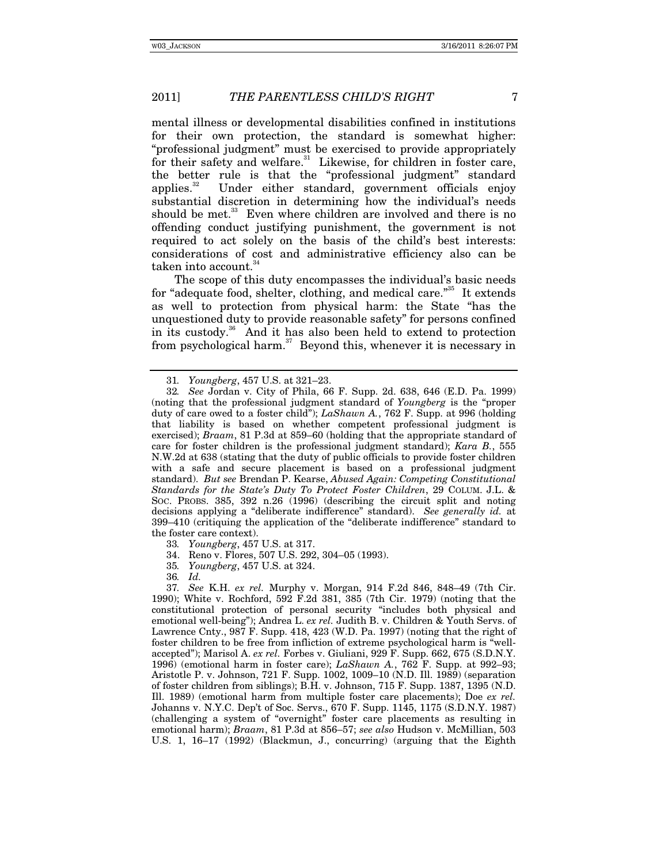mental illness or developmental disabilities confined in institutions for their own protection, the standard is somewhat higher: "professional judgment" must be exercised to provide appropriately for their safety and welfare.<sup>31</sup> Likewise, for children in foster care, the better rule is that the "professional judgment" standard applies. $32$  Under either standard, government officials enjoy substantial discretion in determining how the individual's needs should be met.<sup>33</sup> Even where children are involved and there is no offending conduct justifying punishment, the government is not required to act solely on the basis of the child's best interests: considerations of cost and administrative efficiency also can be taken into account.<sup>34</sup>

The scope of this duty encompasses the individual's basic needs for "adequate food, shelter, clothing, and medical care."<sup>35</sup> It extends as well to protection from physical harm: the State "has the unquestioned duty to provide reasonable safety" for persons confined in its custody. $36$  And it has also been held to extend to protection from psychological harm. $37$  Beyond this, whenever it is necessary in

33*. Youngberg*, 457 U.S. at 317.

34. Reno v. Flores, 507 U.S. 292, 304–05 (1993).

35*. Youngberg*, 457 U.S. at 324.

36*. Id.*

37*. See* K.H. *ex rel.* Murphy v. Morgan, 914 F.2d 846, 848–49 (7th Cir. 1990); White v. Rochford, 592 F.2d 381, 385 (7th Cir. 1979) (noting that the constitutional protection of personal security "includes both physical and emotional well-being"); Andrea L. *ex rel.* Judith B. v. Children & Youth Servs. of Lawrence Cnty., 987 F. Supp. 418, 423 (W.D. Pa. 1997) (noting that the right of foster children to be free from infliction of extreme psychological harm is "wellaccepted"); Marisol A. *ex rel.* Forbes v. Giuliani, 929 F. Supp. 662, 675 (S.D.N.Y. 1996) (emotional harm in foster care); *LaShawn A.*, 762 F. Supp. at 992–93; Aristotle P. v. Johnson, 721 F. Supp. 1002, 1009–10 (N.D. Ill. 1989) (separation of foster children from siblings); B.H. v. Johnson, 715 F. Supp. 1387, 1395 (N.D. Ill. 1989) (emotional harm from multiple foster care placements); Doe *ex rel.* Johanns v. N.Y.C. Dep't of Soc. Servs., 670 F. Supp. 1145, 1175 (S.D.N.Y. 1987) (challenging a system of "overnight" foster care placements as resulting in emotional harm); *Braam*, 81 P.3d at 856–57; *see also* Hudson v. McMillian, 503 U.S. 1, 16–17 (1992) (Blackmun, J., concurring) (arguing that the Eighth

<sup>31</sup>*. Youngberg*, 457 U.S. at 321–23.

<sup>32</sup>*. See* Jordan v. City of Phila, 66 F. Supp. 2d. 638, 646 (E.D. Pa. 1999) (noting that the professional judgment standard of *Youngberg* is the "proper duty of care owed to a foster child"); *LaShawn A.*, 762 F. Supp. at 996 (holding that liability is based on whether competent professional judgment is exercised); *Braam*, 81 P.3d at 859–60 (holding that the appropriate standard of care for foster children is the professional judgment standard); *Kara B.*, 555 N.W.2d at 638 (stating that the duty of public officials to provide foster children with a safe and secure placement is based on a professional judgment standard). *But see* Brendan P. Kearse, *Abused Again: Competing Constitutional Standards for the State's Duty To Protect Foster Children*, 29 COLUM. J.L. & SOC. PROBS. 385, 392 n.26 (1996) (describing the circuit split and noting decisions applying a "deliberate indifference" standard). *See generally id.* at 399–410 (critiquing the application of the "deliberate indifference" standard to the foster care context).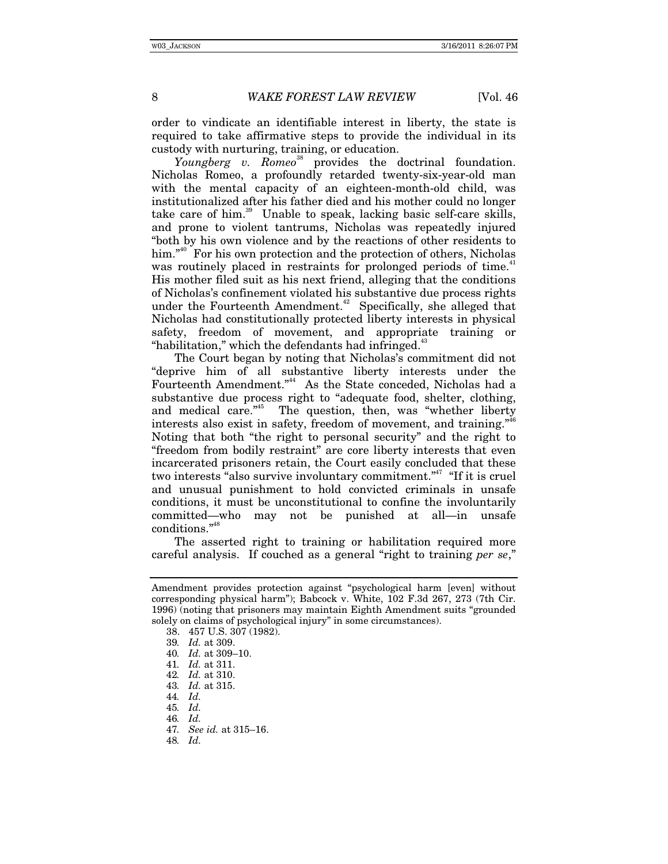order to vindicate an identifiable interest in liberty, the state is required to take affirmative steps to provide the individual in its custody with nurturing, training, or education.

*Youngberg v. Romeo*<sup>38</sup> provides the doctrinal foundation. Nicholas Romeo, a profoundly retarded twenty-six-year-old man with the mental capacity of an eighteen-month-old child, was institutionalized after his father died and his mother could no longer take care of him. $39$  Unable to speak, lacking basic self-care skills, and prone to violent tantrums, Nicholas was repeatedly injured "both by his own violence and by the reactions of other residents to him."<sup>40</sup> For his own protection and the protection of others, Nicholas was routinely placed in restraints for prolonged periods of time.<sup>41</sup> His mother filed suit as his next friend, alleging that the conditions of Nicholas's confinement violated his substantive due process rights under the Fourteenth Amendment.<sup>42</sup> Specifically, she alleged that Nicholas had constitutionally protected liberty interests in physical safety, freedom of movement, and appropriate training or "habilitation," which the defendants had infringed. $43$ 

The Court began by noting that Nicholas's commitment did not "deprive him of all substantive liberty interests under the Fourteenth Amendment."44 As the State conceded, Nicholas had a substantive due process right to "adequate food, shelter, clothing, and medical care.<sup>"45</sup> The question, then, was "whether liberty interests also exist in safety, freedom of movement, and training."<sup>46</sup> Noting that both "the right to personal security" and the right to "freedom from bodily restraint" are core liberty interests that even incarcerated prisoners retain, the Court easily concluded that these two interests "also survive involuntary commitment."<sup>47</sup> "If it is cruel and unusual punishment to hold convicted criminals in unsafe conditions, it must be unconstitutional to confine the involuntarily committed—who may not be punished at all—in unsafe conditions."<sup>48</sup>

The asserted right to training or habilitation required more careful analysis. If couched as a general "right to training *per se*,"

Amendment provides protection against "psychological harm [even] without corresponding physical harm"); Babcock v. White, 102 F.3d 267, 273 (7th Cir. 1996) (noting that prisoners may maintain Eighth Amendment suits "grounded solely on claims of psychological injury" in some circumstances).

 <sup>38. 457</sup> U.S. 307 (1982).

<sup>39</sup>*. Id.* at 309.

<sup>40</sup>*. Id.* at 309–10.

<sup>41</sup>*. Id.* at 311.

<sup>42</sup>*. Id.* at 310.

<sup>43</sup>*. Id.* at 315.

<sup>44</sup>*. Id.*

<sup>45</sup>*. Id.*

<sup>46</sup>*. Id.*

<sup>47</sup>*. See id.* at 315–16.

<sup>48</sup>*. Id.*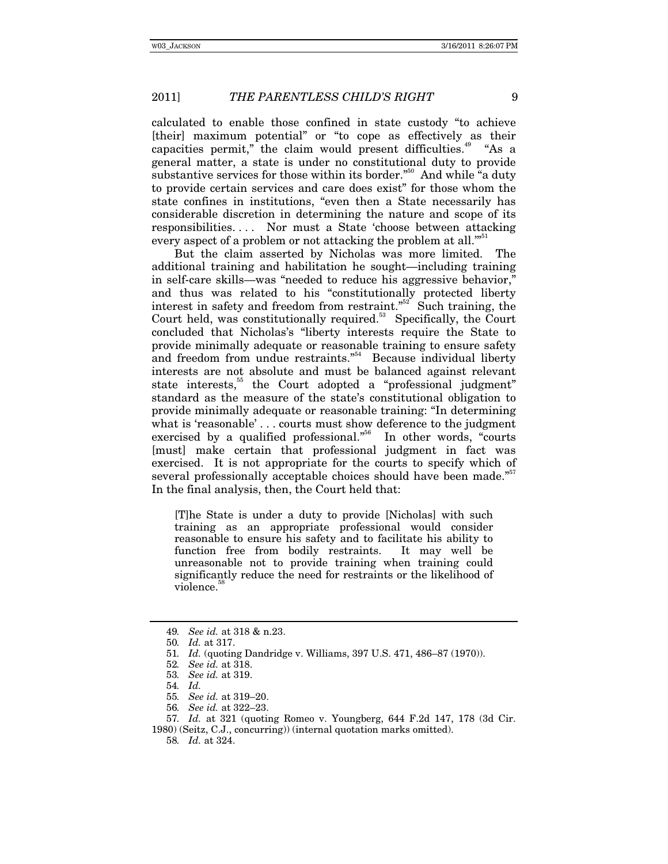calculated to enable those confined in state custody "to achieve [their] maximum potential" or "to cope as effectively as their capacities permit," the claim would present difficulties.<sup>49</sup> "As a general matter, a state is under no constitutional duty to provide substantive services for those within its border."<sup>50</sup> And while "a duty to provide certain services and care does exist" for those whom the state confines in institutions, "even then a State necessarily has considerable discretion in determining the nature and scope of its responsibilities. . . . Nor must a State 'choose between attacking every aspect of a problem or not attacking the problem at all."<sup>51</sup>

But the claim asserted by Nicholas was more limited. The additional training and habilitation he sought—including training in self-care skills—was "needed to reduce his aggressive behavior," and thus was related to his "constitutionally protected liberty interest in safety and freedom from restraint."<sup>52</sup> Such training, the Court held, was constitutionally required.<sup>53</sup> Specifically, the Court concluded that Nicholas's "liberty interests require the State to provide minimally adequate or reasonable training to ensure safety and freedom from undue restraints."<sup>54</sup> Because individual liberty interests are not absolute and must be balanced against relevant state interests,<sup>55</sup> the Court adopted a "professional judgment" standard as the measure of the state's constitutional obligation to provide minimally adequate or reasonable training: "In determining what is 'reasonable' . . . courts must show deference to the judgment exercised by a qualified professional."<sup>56</sup> In other words, "courts [must] make certain that professional judgment in fact was exercised. It is not appropriate for the courts to specify which of several professionally acceptable choices should have been made."<sup>57</sup> In the final analysis, then, the Court held that:

[T]he State is under a duty to provide [Nicholas] with such training as an appropriate professional would consider reasonable to ensure his safety and to facilitate his ability to function free from bodily restraints. It may well be unreasonable not to provide training when training could significantly reduce the need for restraints or the likelihood of violence.<sup>5</sup>

55*. See id.* at 319–20.

<sup>49</sup>*. See id.* at 318 & n.23.

<sup>50</sup>*. Id.* at 317.

<sup>51</sup>*. Id.* (quoting Dandridge v. Williams, 397 U.S. 471, 486–87 (1970)).

<sup>52</sup>*. See id.* at 318.

<sup>53</sup>*. See id.* at 319.

<sup>54</sup>*. Id.*

<sup>56</sup>*. See id.* at 322–23.

<sup>57</sup>*. Id.* at 321 (quoting Romeo v. Youngberg, 644 F.2d 147, 178 (3d Cir.

<sup>1980) (</sup>Seitz, C.J., concurring)) (internal quotation marks omitted).

<sup>58</sup>*. Id.* at 324.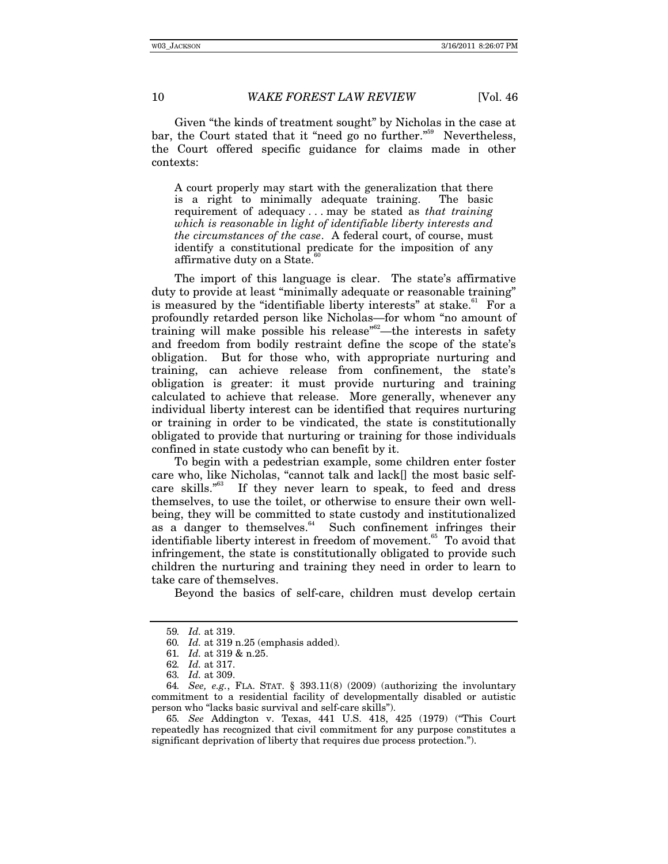Given "the kinds of treatment sought" by Nicholas in the case at bar, the Court stated that it "need go no further."<sup>59</sup> Nevertheless, the Court offered specific guidance for claims made in other contexts:

A court properly may start with the generalization that there is a right to minimally adequate training. The basic requirement of adequacy . . . may be stated as *that training which is reasonable in light of identifiable liberty interests and the circumstances of the case*. A federal court, of course, must identify a constitutional predicate for the imposition of any affirmative duty on a State.<sup>6</sup>

The import of this language is clear. The state's affirmative duty to provide at least "minimally adequate or reasonable training" is measured by the "identifiable liberty interests" at stake. $61$  For a profoundly retarded person like Nicholas—for whom "no amount of training will make possible his release<sup>"62</sup>—the interests in safety and freedom from bodily restraint define the scope of the state's obligation. But for those who, with appropriate nurturing and training, can achieve release from confinement, the state's obligation is greater: it must provide nurturing and training calculated to achieve that release. More generally, whenever any individual liberty interest can be identified that requires nurturing or training in order to be vindicated, the state is constitutionally obligated to provide that nurturing or training for those individuals confined in state custody who can benefit by it.

To begin with a pedestrian example, some children enter foster care who, like Nicholas, "cannot talk and lack[] the most basic self-<br>care skills."<sup>63</sup> If they never learn to speak, to feed and dress If they never learn to speak, to feed and dress themselves, to use the toilet, or otherwise to ensure their own wellbeing, they will be committed to state custody and institutionalized as a danger to themselves. $64$  Such confinement infringes their identifiable liberty interest in freedom of movement.<sup>65</sup> To avoid that infringement, the state is constitutionally obligated to provide such children the nurturing and training they need in order to learn to take care of themselves.

Beyond the basics of self-care, children must develop certain

<sup>59</sup>*. Id.* at 319.

<sup>60</sup>*. Id.* at 319 n.25 (emphasis added).

<sup>61</sup>*. Id.* at 319 & n.25.

<sup>62</sup>*. Id.* at 317.

<sup>63</sup>*. Id.* at 309.

<sup>64</sup>*. See, e.g.*, FLA. STAT. § 393.11(8) (2009) (authorizing the involuntary commitment to a residential facility of developmentally disabled or autistic person who "lacks basic survival and self-care skills").

<sup>65</sup>*. See* Addington v. Texas, 441 U.S. 418, 425 (1979) ("This Court repeatedly has recognized that civil commitment for any purpose constitutes a significant deprivation of liberty that requires due process protection.").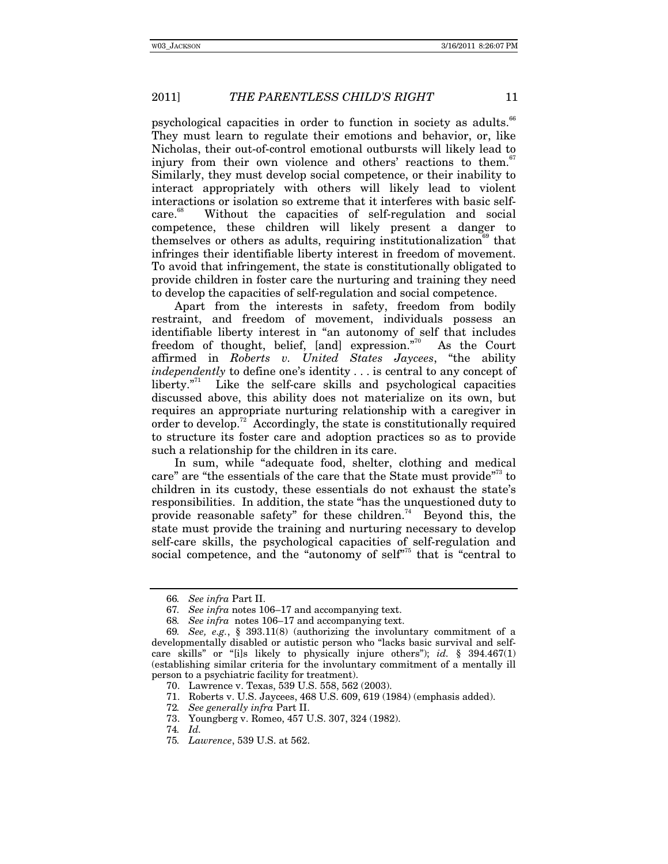psychological capacities in order to function in society as adults.<sup>66</sup> They must learn to regulate their emotions and behavior, or, like Nicholas, their out-of-control emotional outbursts will likely lead to injury from their own violence and others' reactions to them.<sup>67</sup> Similarly, they must develop social competence, or their inability to interact appropriately with others will likely lead to violent interactions or isolation so extreme that it interferes with basic selfcare.<sup>68</sup> Without the capacities of self-regulation and social competence, these children will likely present a danger to themselves or others as adults, requiring institutionalization<sup> $69$ </sup> that infringes their identifiable liberty interest in freedom of movement. To avoid that infringement, the state is constitutionally obligated to provide children in foster care the nurturing and training they need to develop the capacities of self-regulation and social competence.

Apart from the interests in safety, freedom from bodily restraint, and freedom of movement, individuals possess an identifiable liberty interest in "an autonomy of self that includes freedom of thought, belief, [and] expression."<sup>70</sup> As the Court affirmed in *Roberts v. United States Jaycees*, "the ability *independently* to define one's identity . . . is central to any concept of liberty. $n^{71}$  Like the self-care skills and psychological capacities discussed above, this ability does not materialize on its own, but requires an appropriate nurturing relationship with a caregiver in order to develop.<sup>72</sup> Accordingly, the state is constitutionally required to structure its foster care and adoption practices so as to provide such a relationship for the children in its care.

In sum, while "adequate food, shelter, clothing and medical care" are "the essentials of the care that the State must provide"<sup>3</sup> to children in its custody, these essentials do not exhaust the state's responsibilities. In addition, the state "has the unquestioned duty to provide reasonable safety" for these children.<sup>74</sup> Beyond this, the state must provide the training and nurturing necessary to develop self-care skills, the psychological capacities of self-regulation and social competence, and the "autonomy of self"<sup> $75$ </sup> that is "central to

<sup>66</sup>*. See infra* Part II.

<sup>67</sup>*. See infra* notes 106–17 and accompanying text.

<sup>68</sup>*. See infra* notes 106–17 and accompanying text.

<sup>69</sup>*. See, e.g.*, § 393.11(8) (authorizing the involuntary commitment of a developmentally disabled or autistic person who "lacks basic survival and selfcare skills" or "[i]s likely to physically injure others"); *id.* § 394.467(1) (establishing similar criteria for the involuntary commitment of a mentally ill person to a psychiatric facility for treatment).

 <sup>70.</sup> Lawrence v. Texas, 539 U.S. 558, 562 (2003).

 <sup>71.</sup> Roberts v. U.S. Jaycees, 468 U.S. 609, 619 (1984) (emphasis added).

<sup>72</sup>*. See generally infra* Part II.

 <sup>73.</sup> Youngberg v. Romeo, 457 U.S. 307, 324 (1982).

<sup>74</sup>*. Id.*

<sup>75</sup>*. Lawrence*, 539 U.S. at 562.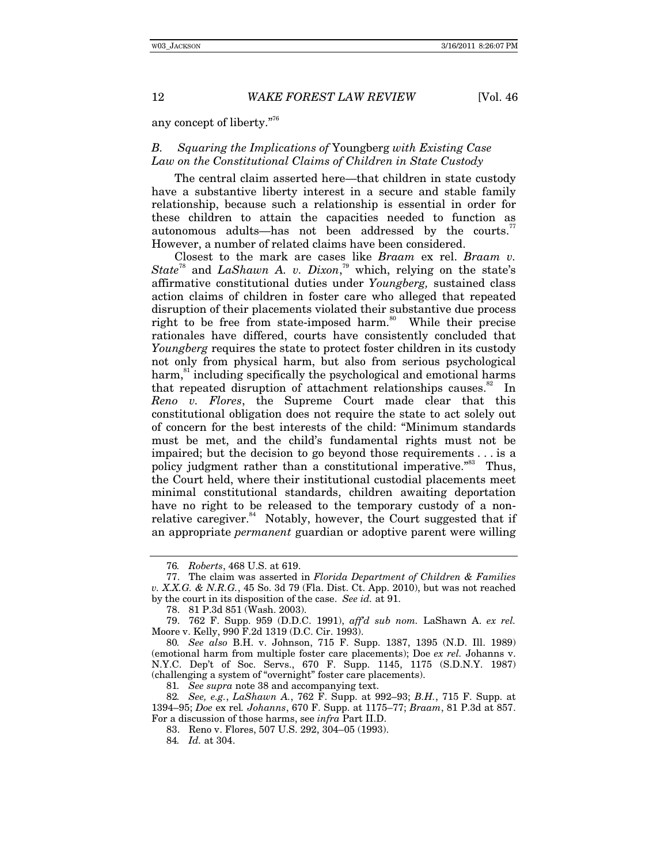any concept of liberty."76

# *B. Squaring the Implications of* Youngberg *with Existing Case Law on the Constitutional Claims of Children in State Custody*

The central claim asserted here—that children in state custody have a substantive liberty interest in a secure and stable family relationship, because such a relationship is essential in order for these children to attain the capacities needed to function as autonomous adults—has not been addressed by the courts.<sup>7</sup> However, a number of related claims have been considered.

Closest to the mark are cases like *Braam* ex rel. *Braam v. State*78 and *LaShawn A. v. Dixon*, 79 which, relying on the state's affirmative constitutional duties under *Youngberg,* sustained class action claims of children in foster care who alleged that repeated disruption of their placements violated their substantive due process right to be free from state-imposed harm.<sup>80</sup> While their precise rationales have differed, courts have consistently concluded that *Youngberg* requires the state to protect foster children in its custody not only from physical harm, but also from serious psychological harm,<sup>81</sup> including specifically the psychological and emotional harms that repeated disruption of attachment relationships causes.<sup>82</sup> In *Reno v. Flores*, the Supreme Court made clear that this constitutional obligation does not require the state to act solely out of concern for the best interests of the child: "Minimum standards must be met, and the child's fundamental rights must not be impaired; but the decision to go beyond those requirements . . . is a policy judgment rather than a constitutional imperative."<sup>83</sup> Thus, the Court held, where their institutional custodial placements meet minimal constitutional standards, children awaiting deportation have no right to be released to the temporary custody of a nonrelative caregiver. $84$  Notably, however, the Court suggested that if an appropriate *permanent* guardian or adoptive parent were willing

82*. See, e.g.*, *LaShawn A.*, 762 F. Supp. at 992–93; *B.H.*, 715 F. Supp. at 1394–95; *Doe* ex rel*. Johanns*, 670 F. Supp. at 1175–77; *Braam*, 81 P.3d at 857. For a discussion of those harms, see *infra* Part II.D.

<sup>76</sup>*. Roberts*, 468 U.S. at 619.

 <sup>77.</sup> The claim was asserted in *Florida Department of Children & Families v. X.X.G. & N.R.G.*, 45 So. 3d 79 (Fla. Dist. Ct. App. 2010), but was not reached by the court in its disposition of the case. *See id.* at 91.

 <sup>78. 81</sup> P.3d 851 (Wash. 2003).

 <sup>79. 762</sup> F. Supp. 959 (D.D.C. 1991), *aff'd sub nom.* LaShawn A. *ex rel.* Moore v. Kelly, 990 F.2d 1319 (D.C. Cir. 1993).

<sup>80</sup>*. See also* B.H. v. Johnson, 715 F. Supp. 1387, 1395 (N.D. Ill. 1989) (emotional harm from multiple foster care placements); Doe *ex rel.* Johanns v. N.Y.C. Dep't of Soc. Servs., 670 F. Supp. 1145, 1175 (S.D.N.Y. 1987) (challenging a system of "overnight" foster care placements).

<sup>81</sup>*. See supra* note 38 and accompanying text.

 <sup>83.</sup> Reno v. Flores, 507 U.S. 292, 304–05 (1993).

<sup>84</sup>*. Id.* at 304.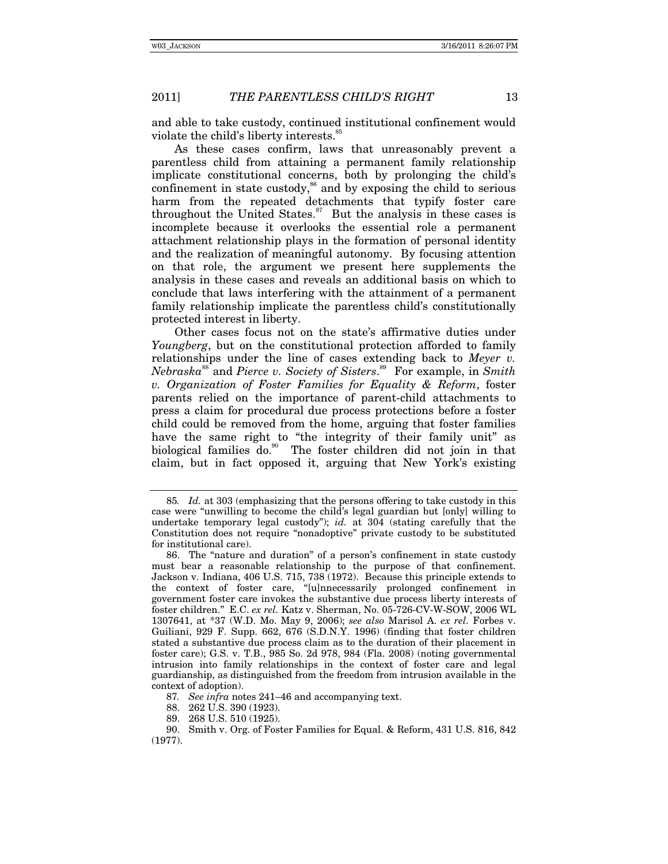and able to take custody, continued institutional confinement would violate the child's liberty interests.<sup>85</sup>

As these cases confirm, laws that unreasonably prevent a parentless child from attaining a permanent family relationship implicate constitutional concerns, both by prolonging the child's confinement in state custody,<sup>86</sup> and by exposing the child to serious harm from the repeated detachments that typify foster care throughout the United States. $87$  But the analysis in these cases is incomplete because it overlooks the essential role a permanent attachment relationship plays in the formation of personal identity and the realization of meaningful autonomy. By focusing attention on that role, the argument we present here supplements the analysis in these cases and reveals an additional basis on which to conclude that laws interfering with the attainment of a permanent family relationship implicate the parentless child's constitutionally protected interest in liberty.

Other cases focus not on the state's affirmative duties under *Youngberg*, but on the constitutional protection afforded to family relationships under the line of cases extending back to *Meyer v. Nebraska*<sup>88</sup> and *Pierce v. Society of Sisters*. 89 For example, in *Smith v. Organization of Foster Families for Equality & Reform*, foster parents relied on the importance of parent-child attachments to press a claim for procedural due process protections before a foster child could be removed from the home, arguing that foster families have the same right to "the integrity of their family unit" as biological families do.90 The foster children did not join in that claim, but in fact opposed it, arguing that New York's existing

87*. See infra* notes 241–46 and accompanying text.

88. 262 U.S. 390 (1923).

89. 268 U.S. 510 (1925).

<sup>85</sup>*. Id.* at 303 (emphasizing that the persons offering to take custody in this case were "unwilling to become the child's legal guardian but [only] willing to undertake temporary legal custody"); *id.* at 304 (stating carefully that the Constitution does not require "nonadoptive" private custody to be substituted for institutional care).

 <sup>86.</sup> The "nature and duration" of a person's confinement in state custody must bear a reasonable relationship to the purpose of that confinement. Jackson v. Indiana, 406 U.S. 715, 738 (1972). Because this principle extends to the context of foster care, "[u]nnecessarily prolonged confinement in government foster care invokes the substantive due process liberty interests of foster children." E.C. *ex rel.* Katz v. Sherman, No. 05-726-CV-W-SOW, 2006 WL 1307641, at \*37 (W.D. Mo. May 9, 2006); *see also* Marisol A. *ex rel.* Forbes v. Guiliani, 929 F. Supp. 662, 676 (S.D.N.Y. 1996) (finding that foster children stated a substantive due process claim as to the duration of their placement in foster care); G.S. v. T.B., 985 So. 2d 978, 984 (Fla. 2008) (noting governmental intrusion into family relationships in the context of foster care and legal guardianship, as distinguished from the freedom from intrusion available in the context of adoption).

 <sup>90.</sup> Smith v. Org. of Foster Families for Equal. & Reform, 431 U.S. 816, 842 (1977).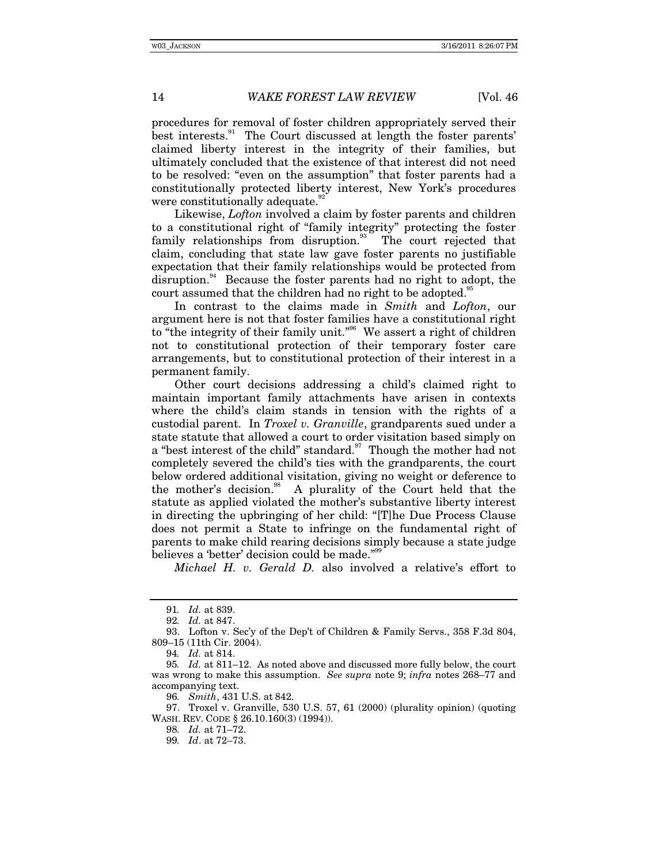procedures for removal of foster children appropriately served their best interests.<sup>91</sup> The Court discussed at length the foster parents' claimed liberty interest in the integrity of their families, but ultimately concluded that the existence of that interest did not need to be resolved: "even on the assumption" that foster parents had a constitutionally protected liberty interest, New York's procedures were constitutionally adequate.<sup>92</sup>

Likewise, *Lofton* involved a claim by foster parents and children to a constitutional right of "family integrity" protecting the foster family relationships from disruption.<sup>93</sup> The court rejected that claim, concluding that state law gave foster parents no justifiable expectation that their family relationships would be protected from disruption.<sup>94</sup> Because the foster parents had no right to adopt, the court assumed that the children had no right to be adopted.<sup>9</sup>

In contrast to the claims made in *Smith* and *Lofton*, our argument here is not that foster families have a constitutional right to "the integrity of their family unit."<sup>96</sup> We assert a right of children not to constitutional protection of their temporary foster care arrangements, but to constitutional protection of their interest in a permanent family.

Other court decisions addressing a child's claimed right to maintain important family attachments have arisen in contexts where the child's claim stands in tension with the rights of a custodial parent. In *Troxel v. Granville*, grandparents sued under a state statute that allowed a court to order visitation based simply on a "best interest of the child" standard.<sup>97</sup> Though the mother had not completely severed the child's ties with the grandparents, the court below ordered additional visitation, giving no weight or deference to the mother's decision.<sup>98</sup> A plurality of the Court held that the statute as applied violated the mother's substantive liberty interest in directing the upbringing of her child: "[T]he Due Process Clause does not permit a State to infringe on the fundamental right of parents to make child rearing decisions simply because a state judge believes a 'better' decision could be made."<sup>98</sup>

*Michael H. v. Gerald D.* also involved a relative's effort to

 97. Troxel v. Granville, 530 U.S. 57, 61 (2000) (plurality opinion) (quoting WASH. REV. CODE § 26.10.160(3) (1994)).

<sup>91</sup>*. Id.* at 839.

<sup>92</sup>*. Id.* at 847.

 <sup>93.</sup> Lofton v. Sec'y of the Dep't of Children & Family Servs., 358 F.3d 804, 809–15 (11th Cir. 2004).

<sup>94</sup>*. Id.* at 814.

<sup>95</sup>*. Id.* at 811–12. As noted above and discussed more fully below, the court was wrong to make this assumption. *See supra* note 9; *infra* notes 268–77 and accompanying text.

<sup>96</sup>*. Smith*, 431 U.S. at 842.

<sup>98</sup>*. Id.* at 71–72.

<sup>99</sup>*. Id*. at 72–73.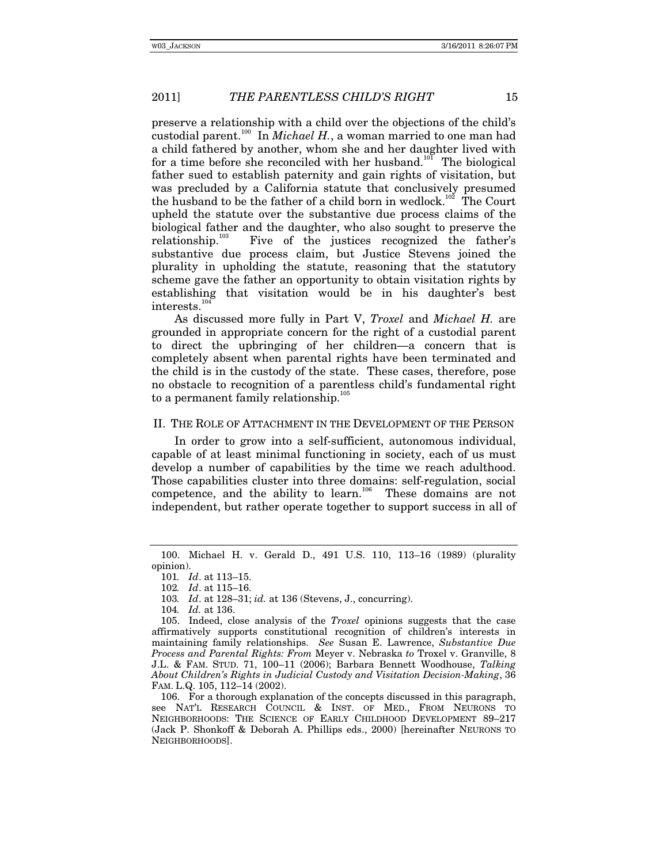preserve a relationship with a child over the objections of the child's custodial parent.<sup>100</sup> In *Michael H.*, a woman married to one man had a child fathered by another, whom she and her daughter lived with for a time before she reconciled with her husband.<sup>101</sup> The biological father sued to establish paternity and gain rights of visitation, but was precluded by a California statute that conclusively presumed the husband to be the father of a child born in wedlock.<sup>102</sup> The Court upheld the statute over the substantive due process claims of the biological father and the daughter, who also sought to preserve the relationship. $103$  Five of the justices recognized the father's substantive due process claim, but Justice Stevens joined the plurality in upholding the statute, reasoning that the statutory scheme gave the father an opportunity to obtain visitation rights by establishing that visitation would be in his daughter's best interests.<sup>10</sup>

As discussed more fully in Part V, *Troxel* and *Michael H.* are grounded in appropriate concern for the right of a custodial parent to direct the upbringing of her children—a concern that is completely absent when parental rights have been terminated and the child is in the custody of the state. These cases, therefore, pose no obstacle to recognition of a parentless child's fundamental right to a permanent family relationship. $105$ 

#### II. THE ROLE OF ATTACHMENT IN THE DEVELOPMENT OF THE PERSON

In order to grow into a self-sufficient, autonomous individual, capable of at least minimal functioning in society, each of us must develop a number of capabilities by the time we reach adulthood. Those capabilities cluster into three domains: self-regulation, social competence, and the ability to learn.<sup>106</sup> These domains are not independent, but rather operate together to support success in all of

 <sup>100.</sup> Michael H. v. Gerald D., 491 U.S. 110, 113–16 (1989) (plurality opinion).

<sup>101</sup>*. Id*. at 113–15.

<sup>102</sup>*. Id*. at 115–16.

<sup>103</sup>*. Id*. at 128–31; *id.* at 136 (Stevens, J., concurring).

<sup>104</sup>*. Id.* at 136.

 <sup>105.</sup> Indeed, close analysis of the *Troxel* opinions suggests that the case affirmatively supports constitutional recognition of children's interests in maintaining family relationships. *See* Susan E. Lawrence, *Substantive Due Process and Parental Rights: From* Meyer v. Nebraska *to* Troxel v. Granville, 8 J.L. & FAM. STUD. 71, 100–11 (2006); Barbara Bennett Woodhouse, *Talking About Children's Rights in Judicial Custody and Visitation Decision-Making*, 36 FAM. L.Q. 105, 112–14 (2002).

 <sup>106.</sup> For a thorough explanation of the concepts discussed in this paragraph, see NAT'L RESEARCH COUNCIL & INST. OF MED., FROM NEURONS TO NEIGHBORHOODS: THE SCIENCE OF EARLY CHILDHOOD DEVELOPMENT 89–217 (Jack P. Shonkoff & Deborah A. Phillips eds., 2000) [hereinafter NEURONS TO NEIGHBORHOODS].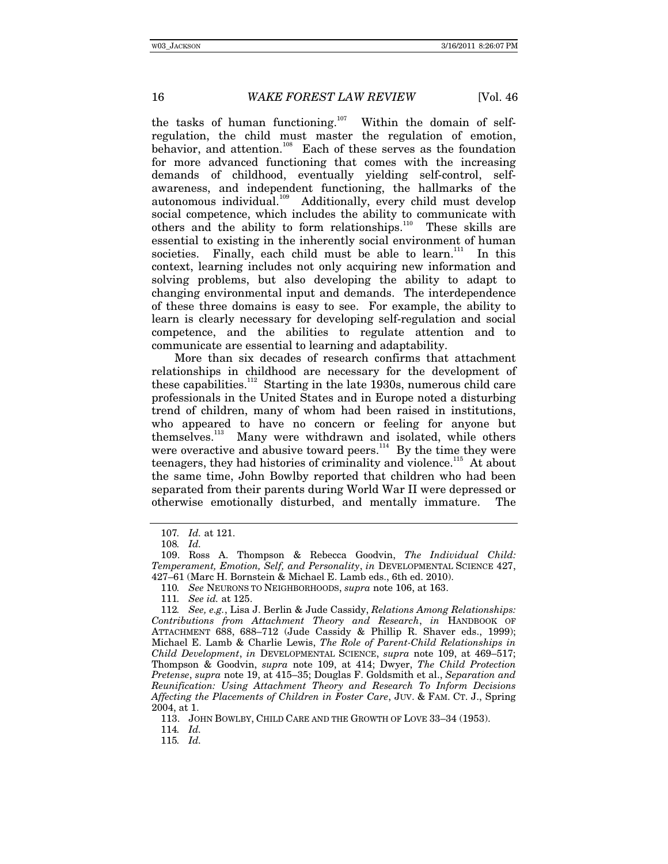the tasks of human functioning.<sup>107</sup> Within the domain of selfregulation, the child must master the regulation of emotion, behavior, and attention.<sup>108</sup> Each of these serves as the foundation for more advanced functioning that comes with the increasing demands of childhood, eventually yielding self-control, selfawareness, and independent functioning, the hallmarks of the autonomous individual.<sup>109</sup> Additionally, every child must develop social competence, which includes the ability to communicate with others and the ability to form relationships. $110$  These skills are essential to existing in the inherently social environment of human societies. Finally, each child must be able to learn.<sup>111</sup> In this context, learning includes not only acquiring new information and solving problems, but also developing the ability to adapt to changing environmental input and demands. The interdependence of these three domains is easy to see. For example, the ability to learn is clearly necessary for developing self-regulation and social competence, and the abilities to regulate attention and to communicate are essential to learning and adaptability.

More than six decades of research confirms that attachment relationships in childhood are necessary for the development of these capabilities.<sup>112</sup> Starting in the late 1930s, numerous child care professionals in the United States and in Europe noted a disturbing trend of children, many of whom had been raised in institutions, who appeared to have no concern or feeling for anyone but themselves.<sup>113</sup> Many were withdrawn and isolated, while others were overactive and abusive toward peers. $114$  By the time they were teenagers, they had histories of criminality and violence.<sup>115</sup> At about the same time, John Bowlby reported that children who had been separated from their parents during World War II were depressed or otherwise emotionally disturbed, and mentally immature. The

114*. Id.*

<sup>107</sup>*. Id.* at 121.

<sup>108</sup>*. Id.*

 <sup>109.</sup> Ross A. Thompson & Rebecca Goodvin, *The Individual Child: Temperament, Emotion, Self, and Personality*, *in* DEVELOPMENTAL SCIENCE 427, 427–61 (Marc H. Bornstein & Michael E. Lamb eds., 6th ed. 2010).

<sup>110</sup>*. See* NEURONS TO NEIGHBORHOODS, *supra* note 106, at 163.

<sup>111</sup>*. See id.* at 125.

<sup>112</sup>*. See, e.g.*, Lisa J. Berlin & Jude Cassidy, *Relations Among Relationships: Contributions from Attachment Theory and Research*, *in* HANDBOOK OF ATTACHMENT 688, 688–712 (Jude Cassidy & Phillip R. Shaver eds., 1999); Michael E. Lamb & Charlie Lewis, *The Role of Parent-Child Relationships in Child Development*, *in* DEVELOPMENTAL SCIENCE, *supra* note 109, at 469–517; Thompson & Goodvin, *supra* note 109, at 414; Dwyer, *The Child Protection Pretense*, *supra* note 19, at 415–35; Douglas F. Goldsmith et al., *Separation and Reunification: Using Attachment Theory and Research To Inform Decisions Affecting the Placements of Children in Foster Care*, JUV. & FAM. CT. J., Spring 2004, at 1.

 <sup>113.</sup> JOHN BOWLBY, CHILD CARE AND THE GROWTH OF LOVE 33–34 (1953).

<sup>115</sup>*. Id.*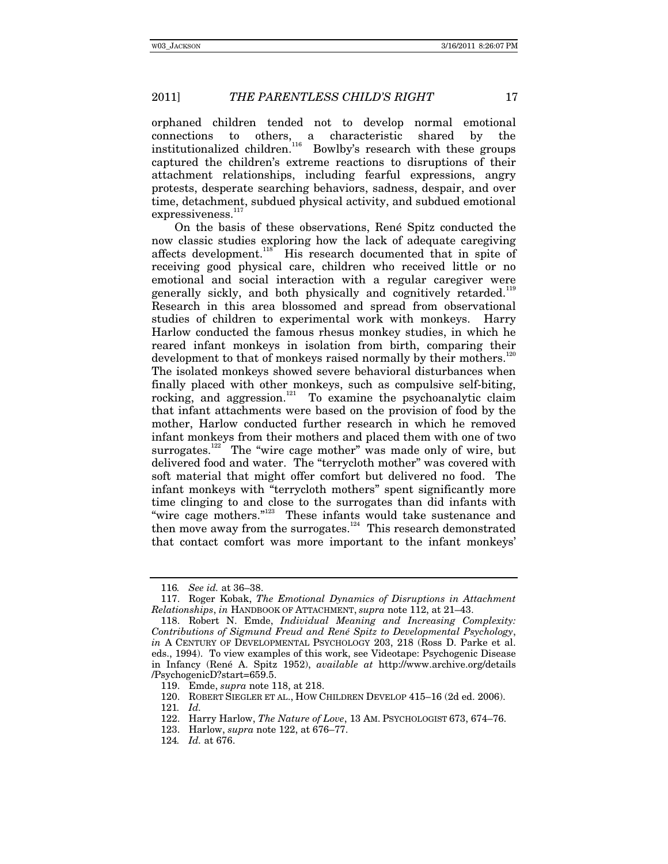orphaned children tended not to develop normal emotional connections to others, a characteristic shared by the institutionalized children.<sup>116</sup> Bowlby's research with these groups captured the children's extreme reactions to disruptions of their attachment relationships, including fearful expressions, angry protests, desperate searching behaviors, sadness, despair, and over time, detachment, subdued physical activity, and subdued emotional expressiveness.<sup>117</sup>

On the basis of these observations, René Spitz conducted the now classic studies exploring how the lack of adequate caregiving affects development.<sup>118</sup> His research documented that in spite of receiving good physical care, children who received little or no emotional and social interaction with a regular caregiver were generally sickly, and both physically and cognitively retarded.<sup>119</sup> Research in this area blossomed and spread from observational studies of children to experimental work with monkeys. Harry Harlow conducted the famous rhesus monkey studies, in which he reared infant monkeys in isolation from birth, comparing their development to that of monkeys raised normally by their mothers.<sup>12</sup> The isolated monkeys showed severe behavioral disturbances when finally placed with other monkeys, such as compulsive self-biting, rocking, and aggression.<sup>121</sup> To examine the psychoanalytic claim that infant attachments were based on the provision of food by the mother, Harlow conducted further research in which he removed infant monkeys from their mothers and placed them with one of two surrogates.<sup>122</sup> The "wire cage mother" was made only of wire, but delivered food and water. The "terrycloth mother" was covered with soft material that might offer comfort but delivered no food. The infant monkeys with "terrycloth mothers" spent significantly more time clinging to and close to the surrogates than did infants with "wire cage mothers."<sup>123</sup> These infants would take sustenance and then move away from the surrogates.124 This research demonstrated that contact comfort was more important to the infant monkeys'

<sup>116</sup>*. See id.* at 36–38.

 <sup>117.</sup> Roger Kobak, *The Emotional Dynamics of Disruptions in Attachment Relationships*, *in* HANDBOOK OF ATTACHMENT, *supra* note 112, at 21–43.

 <sup>118.</sup> Robert N. Emde, *Individual Meaning and Increasing Complexity: Contributions of Sigmund Freud and René Spitz to Developmental Psychology*, *in* A CENTURY OF DEVELOPMENTAL PSYCHOLOGY 203, 218 (Ross D. Parke et al. eds., 1994). To view examples of this work, see Videotape: Psychogenic Disease in Infancy (René A. Spitz 1952), *available at* http://www.archive.org/details /PsychogenicD?start=659.5.

 <sup>119.</sup> Emde, *supra* note 118, at 218.

 <sup>120.</sup> ROBERT SIEGLER ET AL., HOW CHILDREN DEVELOP 415–16 (2d ed. 2006).

<sup>121</sup>*. Id.*

 <sup>122.</sup> Harry Harlow, *The Nature of Love*, 13 AM. PSYCHOLOGIST 673, 674–76.

 <sup>123.</sup> Harlow, *supra* note 122, at 676–77.

<sup>124</sup>*. Id.* at 676.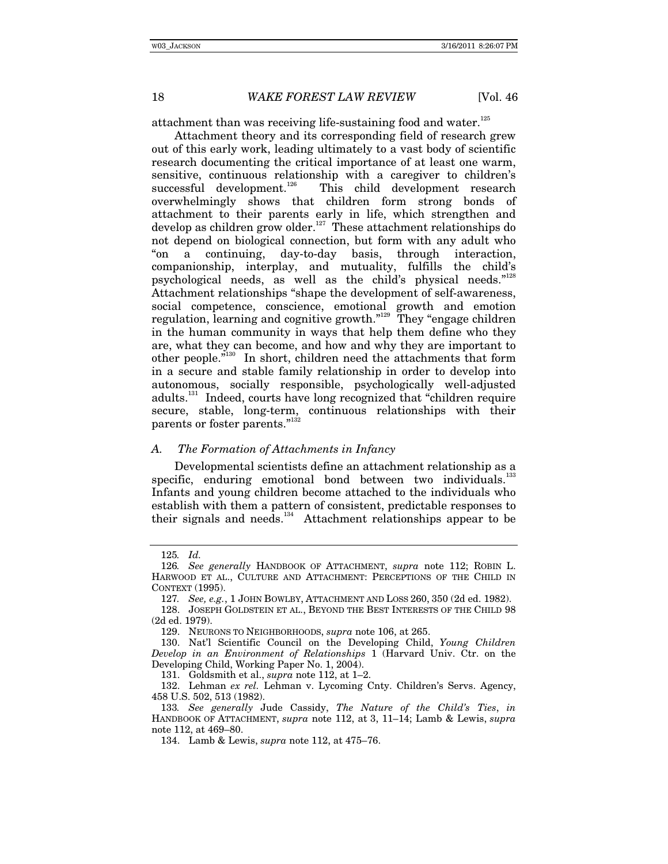attachment than was receiving life-sustaining food and water.<sup>125</sup>

Attachment theory and its corresponding field of research grew out of this early work, leading ultimately to a vast body of scientific research documenting the critical importance of at least one warm, sensitive, continuous relationship with a caregiver to children's successful development.<sup>126</sup> This child development research This child development research overwhelmingly shows that children form strong bonds of attachment to their parents early in life, which strengthen and develop as children grow older.127 These attachment relationships do not depend on biological connection, but form with any adult who "on a continuing, day-to-day basis, through interaction, companionship, interplay, and mutuality, fulfills the child's psychological needs, as well as the child's physical needs."<sup>128</sup> Attachment relationships "shape the development of self-awareness, social competence, conscience, emotional growth and emotion regulation, learning and cognitive growth."<sup>129</sup> They "engage children in the human community in ways that help them define who they are, what they can become, and how and why they are important to other people."<sup>130</sup> In short, children need the attachments that form in a secure and stable family relationship in order to develop into autonomous, socially responsible, psychologically well-adjusted adults.<sup>131</sup> Indeed, courts have long recognized that "children require secure, stable, long-term, continuous relationships with their parents or foster parents."<sup>13</sup>

## *A. The Formation of Attachments in Infancy*

Developmental scientists define an attachment relationship as a specific, enduring emotional bond between two individuals.<sup>13</sup> Infants and young children become attached to the individuals who establish with them a pattern of consistent, predictable responses to their signals and needs.<sup>134</sup> Attachment relationships appear to be

131. Goldsmith et al., *supra* note 112, at 1–2.

<sup>125</sup>*. Id.*

<sup>126</sup>*. See generally* HANDBOOK OF ATTACHMENT, *supra* note 112; ROBIN L. HARWOOD ET AL., CULTURE AND ATTACHMENT: PERCEPTIONS OF THE CHILD IN CONTEXT (1995).

<sup>127</sup>*. See, e.g.*, 1 JOHN BOWLBY, ATTACHMENT AND LOSS 260, 350 (2d ed. 1982).

 <sup>128.</sup> JOSEPH GOLDSTEIN ET AL., BEYOND THE BEST INTERESTS OF THE CHILD 98 (2d ed. 1979).

 <sup>129.</sup> NEURONS TO NEIGHBORHOODS, *supra* note 106, at 265.

 <sup>130.</sup> Nat'l Scientific Council on the Developing Child, *Young Children Develop in an Environment of Relationships* 1 (Harvard Univ. Ctr. on the Developing Child, Working Paper No. 1, 2004).

 <sup>132.</sup> Lehman *ex rel.* Lehman v. Lycoming Cnty. Children's Servs. Agency, 458 U.S. 502, 513 (1982).

<sup>133</sup>*. See generally* Jude Cassidy, *The Nature of the Child's Ties*, *in* HANDBOOK OF ATTACHMENT, *supra* note 112, at 3, 11–14; Lamb & Lewis, *supra* note 112, at 469–80.

 <sup>134.</sup> Lamb & Lewis, *supra* note 112, at 475–76.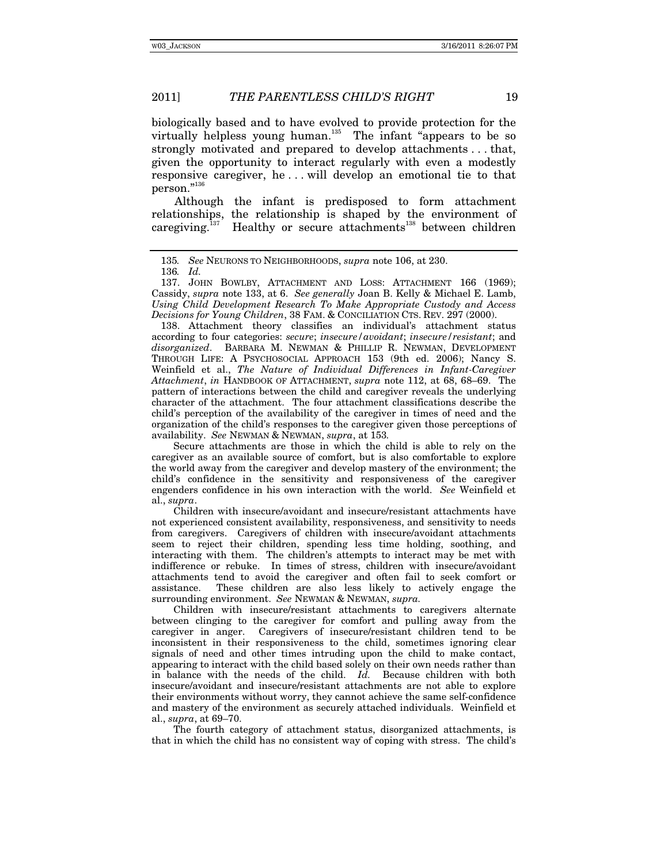biologically based and to have evolved to provide protection for the virtually helpless young human. $135$  The infant "appears to be so strongly motivated and prepared to develop attachments . . . that, given the opportunity to interact regularly with even a modestly responsive caregiver, he . . . will develop an emotional tie to that person."136

Although the infant is predisposed to form attachment relationships, the relationship is shaped by the environment of caregiving.<sup>137</sup> Healthy or secure attachments<sup>138</sup> between children

 138. Attachment theory classifies an individual's attachment status according to four categories: *secure*; *insecure/avoidant*; *insecure/resistant*; and *disorganized*. BARBARA M. NEWMAN & PHILLIP R. NEWMAN, DEVELOPMENT THROUGH LIFE: A PSYCHOSOCIAL APPROACH 153 (9th ed. 2006); Nancy S. Weinfield et al., *The Nature of Individual Differences in Infant-Caregiver Attachment*, *in* HANDBOOK OF ATTACHMENT, *supra* note 112, at 68, 68–69. The pattern of interactions between the child and caregiver reveals the underlying character of the attachment. The four attachment classifications describe the child's perception of the availability of the caregiver in times of need and the organization of the child's responses to the caregiver given those perceptions of availability. *See* NEWMAN & NEWMAN, *supra*, at 153*.* 

Secure attachments are those in which the child is able to rely on the caregiver as an available source of comfort, but is also comfortable to explore the world away from the caregiver and develop mastery of the environment; the child's confidence in the sensitivity and responsiveness of the caregiver engenders confidence in his own interaction with the world. *See* Weinfield et al., *supra*.

Children with insecure/avoidant and insecure/resistant attachments have not experienced consistent availability, responsiveness, and sensitivity to needs from caregivers. Caregivers of children with insecure/avoidant attachments seem to reject their children, spending less time holding, soothing, and interacting with them. The children's attempts to interact may be met with indifference or rebuke. In times of stress, children with insecure/avoidant attachments tend to avoid the caregiver and often fail to seek comfort or assistance. These children are also less likely to actively engage the surrounding environment. *See* NEWMAN & NEWMAN, *supra.*

Children with insecure/resistant attachments to caregivers alternate between clinging to the caregiver for comfort and pulling away from the caregiver in anger. Caregivers of insecure/resistant children tend to be inconsistent in their responsiveness to the child, sometimes ignoring clear signals of need and other times intruding upon the child to make contact, appearing to interact with the child based solely on their own needs rather than in balance with the needs of the child. *Id.* Because children with both insecure/avoidant and insecure/resistant attachments are not able to explore their environments without worry, they cannot achieve the same self-confidence and mastery of the environment as securely attached individuals. Weinfield et al., *supra*, at 69–70.

The fourth category of attachment status, disorganized attachments, is that in which the child has no consistent way of coping with stress. The child's

<sup>135</sup>*. See* NEURONS TO NEIGHBORHOODS, *supra* note 106, at 230.

<sup>136</sup>*. Id.*

 <sup>137.</sup> JOHN BOWLBY, ATTACHMENT AND LOSS: ATTACHMENT 166 (1969); Cassidy, *supra* note 133, at 6. *See generally* Joan B. Kelly & Michael E. Lamb, *Using Child Development Research To Make Appropriate Custody and Access Decisions for Young Children*, 38 FAM. & CONCILIATION CTS. REV. 297 (2000).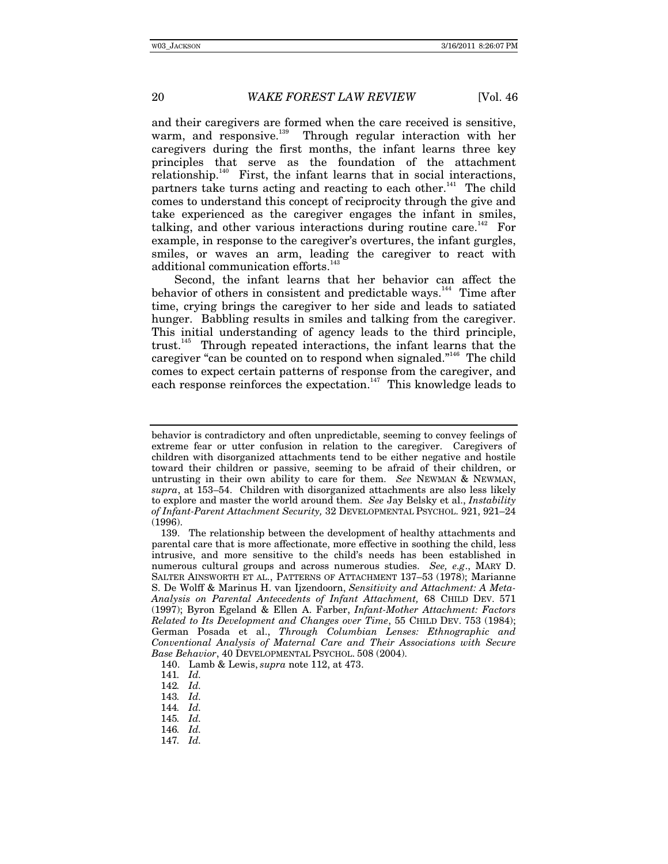and their caregivers are formed when the care received is sensitive, warm, and responsive.<sup>139</sup> Through regular interaction with her caregivers during the first months, the infant learns three key principles that serve as the foundation of the attachment relationship.<sup>140</sup> First, the infant learns that in social interactions, partners take turns acting and reacting to each other.<sup> $141$ </sup> The child comes to understand this concept of reciprocity through the give and take experienced as the caregiver engages the infant in smiles, talking, and other various interactions during routine care.<sup>142</sup> For example, in response to the caregiver's overtures, the infant gurgles, smiles, or waves an arm, leading the caregiver to react with additional communication efforts.<sup>14</sup>

Second, the infant learns that her behavior can affect the behavior of others in consistent and predictable ways.<sup>144</sup> Time after time, crying brings the caregiver to her side and leads to satiated hunger. Babbling results in smiles and talking from the caregiver. This initial understanding of agency leads to the third principle, trust.145 Through repeated interactions, the infant learns that the caregiver "can be counted on to respond when signaled."<sup>146</sup> The child comes to expect certain patterns of response from the caregiver, and each response reinforces the expectation.<sup>147</sup> This knowledge leads to

behavior is contradictory and often unpredictable, seeming to convey feelings of extreme fear or utter confusion in relation to the caregiver. Caregivers of children with disorganized attachments tend to be either negative and hostile toward their children or passive, seeming to be afraid of their children, or untrusting in their own ability to care for them. *See* NEWMAN & NEWMAN, *supra*, at 153–54. Children with disorganized attachments are also less likely to explore and master the world around them. *See* Jay Belsky et al., *Instability of Infant-Parent Attachment Security,* 32 DEVELOPMENTAL PSYCHOL. 921, 921–24 (1996).

 <sup>139.</sup> The relationship between the development of healthy attachments and parental care that is more affectionate, more effective in soothing the child, less intrusive, and more sensitive to the child's needs has been established in numerous cultural groups and across numerous studies. *See, e.g*., MARY D. SALTER AINSWORTH ET AL., PATTERNS OF ATTACHMENT 137–53 (1978); Marianne S. De Wolff & Marinus H. van Ijzendoorn, *Sensitivity and Attachment: A Meta-Analysis on Parental Antecedents of Infant Attachment,* 68 CHILD DEV. 571 (1997); Byron Egeland & Ellen A. Farber, *Infant-Mother Attachment: Factors Related to Its Development and Changes over Time*, 55 CHILD DEV. 753 (1984); German Posada et al., *Through Columbian Lenses: Ethnographic and Conventional Analysis of Maternal Care and Their Associations with Secure Base Behavior*, 40 DEVELOPMENTAL PSYCHOL. 508 (2004).

 <sup>140.</sup> Lamb & Lewis, *supra* note 112, at 473.

<sup>141</sup>*. Id.*

<sup>142</sup>*. Id.*

<sup>143</sup>*. Id.*

<sup>144</sup>*. Id.*

<sup>145</sup>*. Id.*

<sup>146</sup>*. Id.*

<sup>147</sup>*. Id.*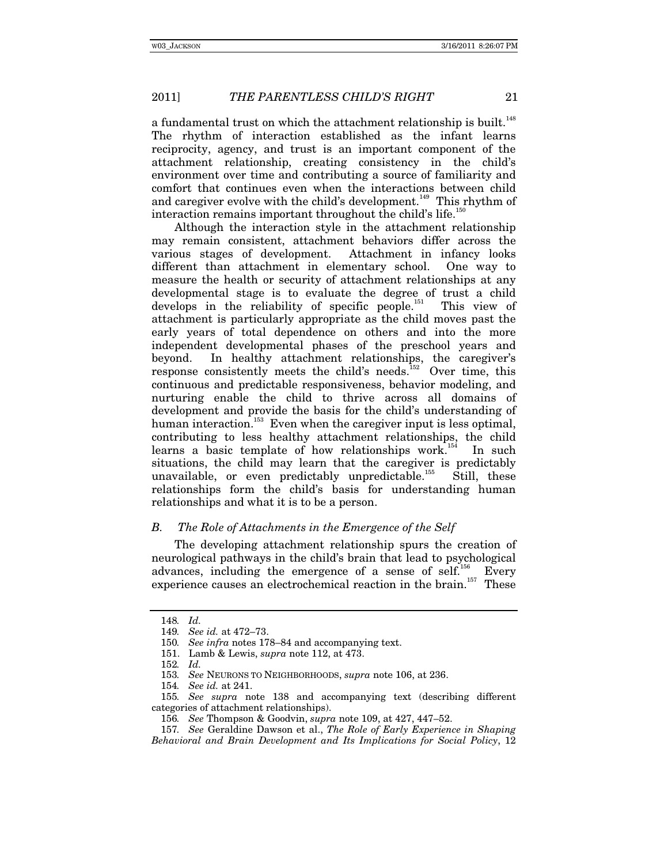a fundamental trust on which the attachment relationship is built.<sup>148</sup> The rhythm of interaction established as the infant learns reciprocity, agency, and trust is an important component of the attachment relationship, creating consistency in the child's environment over time and contributing a source of familiarity and comfort that continues even when the interactions between child and caregiver evolve with the child's development.<sup>149</sup> This rhythm of interaction remains important throughout the child's life.<sup>150</sup>

Although the interaction style in the attachment relationship may remain consistent, attachment behaviors differ across the various stages of development. Attachment in infancy looks different than attachment in elementary school. One way to measure the health or security of attachment relationships at any developmental stage is to evaluate the degree of trust a child develops in the reliability of specific people.<sup>151</sup> This view of attachment is particularly appropriate as the child moves past the early years of total dependence on others and into the more independent developmental phases of the preschool years and beyond. In healthy attachment relationships, the caregiver's response consistently meets the child's needs.<sup>152</sup> Over time, this continuous and predictable responsiveness, behavior modeling, and nurturing enable the child to thrive across all domains of development and provide the basis for the child's understanding of human interaction.<sup>153</sup> Even when the caregiver input is less optimal, contributing to less healthy attachment relationships, the child learns a basic template of how relationships work.<sup>154</sup> In such situations, the child may learn that the caregiver is predictably unavailable, or even predictably unpredictable.<sup>155</sup> Still, these relationships form the child's basis for understanding human relationships and what it is to be a person.

## *B. The Role of Attachments in the Emergence of the Self*

The developing attachment relationship spurs the creation of neurological pathways in the child's brain that lead to psychological advances, including the emergence of a sense of self.<sup>156</sup> Every experience causes an electrochemical reaction in the brain.<sup>157</sup> These

<sup>148</sup>*. Id.*

<sup>149</sup>*. See id.* at 472–73.

<sup>150</sup>*. See infra* notes 178–84 and accompanying text.

 <sup>151.</sup> Lamb & Lewis, *supra* note 112, at 473.

<sup>152</sup>*. Id.*

<sup>153</sup>*. See* NEURONS TO NEIGHBORHOODS, *supra* note 106, at 236.

<sup>154</sup>*. See id.* at 241.

<sup>155</sup>*. See supra* note 138 and accompanying text (describing different categories of attachment relationships).

<sup>156</sup>*. See* Thompson & Goodvin, *supra* note 109, at 427, 447–52.

<sup>157</sup>*. See* Geraldine Dawson et al., *The Role of Early Experience in Shaping Behavioral and Brain Development and Its Implications for Social Policy*, 12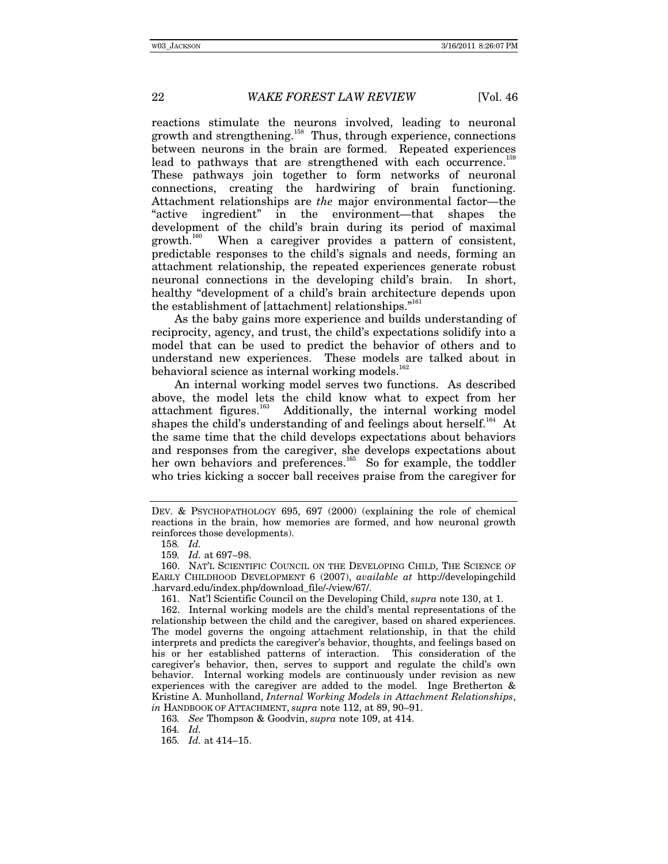reactions stimulate the neurons involved, leading to neuronal growth and strengthening.<sup>158</sup> Thus, through experience, connections between neurons in the brain are formed. Repeated experiences lead to pathways that are strengthened with each occurrence.<sup>15</sup> These pathways join together to form networks of neuronal connections, creating the hardwiring of brain functioning. Attachment relationships are *the* major environmental factor—the "active ingredient" in the environment—that shapes the development of the child's brain during its period of maximal growth.<sup>160</sup> When a caregiver provides a pattern of consistent, predictable responses to the child's signals and needs, forming an attachment relationship, the repeated experiences generate robust neuronal connections in the developing child's brain. In short, healthy "development of a child's brain architecture depends upon the establishment of [attachment] relationships."<sup>161</sup>

As the baby gains more experience and builds understanding of reciprocity, agency, and trust, the child's expectations solidify into a model that can be used to predict the behavior of others and to understand new experiences. These models are talked about in behavioral science as internal working models. $^{16}$ 

An internal working model serves two functions. As described above, the model lets the child know what to expect from her attachment figures.<sup>163</sup> Additionally, the internal working model Additionally, the internal working model shapes the child's understanding of and feelings about herself.<sup>164</sup> At the same time that the child develops expectations about behaviors and responses from the caregiver, she develops expectations about her own behaviors and preferences.<sup>165</sup> So for example, the toddler who tries kicking a soccer ball receives praise from the caregiver for

DEV. & PSYCHOPATHOLOGY 695, 697 (2000) (explaining the role of chemical reactions in the brain, how memories are formed, and how neuronal growth reinforces those developments).

<sup>158</sup>*. Id.*

<sup>159</sup>*. Id.* at 697–98.

 <sup>160.</sup> NAT'L SCIENTIFIC COUNCIL ON THE DEVELOPING CHILD, THE SCIENCE OF EARLY CHILDHOOD DEVELOPMENT 6 (2007), *available at* http://developingchild .harvard.edu/index.php/download\_file/-/view/67/.

 <sup>161.</sup> Nat'l Scientific Council on the Developing Child, *supra* note 130, at 1.

 <sup>162.</sup> Internal working models are the child's mental representations of the relationship between the child and the caregiver, based on shared experiences. The model governs the ongoing attachment relationship, in that the child interprets and predicts the caregiver's behavior, thoughts, and feelings based on his or her established patterns of interaction. This consideration of the caregiver's behavior, then, serves to support and regulate the child's own behavior. Internal working models are continuously under revision as new experiences with the caregiver are added to the model. Inge Bretherton & Kristine A. Munholland, *Internal Working Models in Attachment Relationships*, *in* HANDBOOK OF ATTACHMENT, *supra* note 112, at 89, 90–91.

<sup>163</sup>*. See* Thompson & Goodvin, *supra* note 109, at 414.

<sup>164</sup>*. Id.*

<sup>165</sup>*. Id.* at 414–15.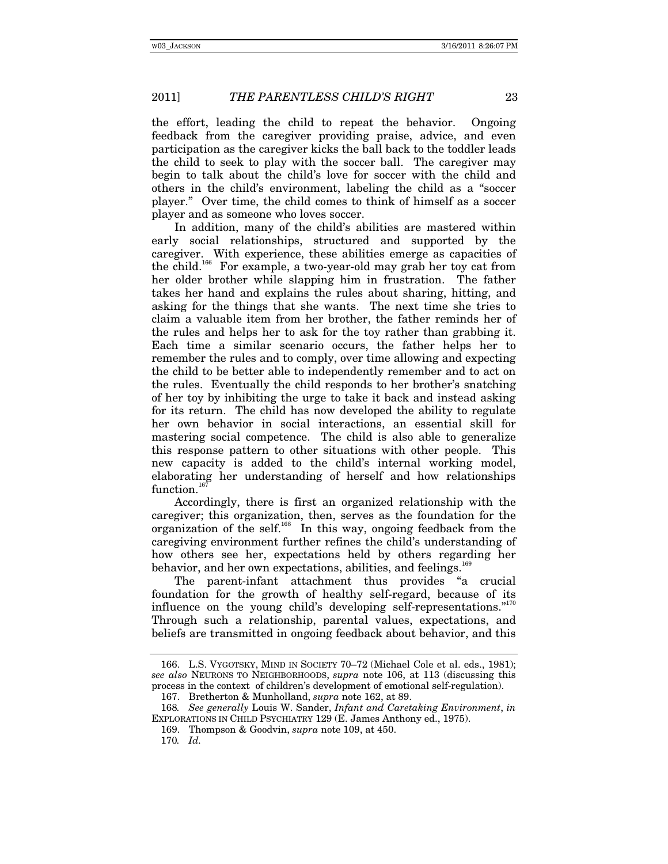the effort, leading the child to repeat the behavior. Ongoing feedback from the caregiver providing praise, advice, and even participation as the caregiver kicks the ball back to the toddler leads the child to seek to play with the soccer ball. The caregiver may begin to talk about the child's love for soccer with the child and others in the child's environment, labeling the child as a "soccer player." Over time, the child comes to think of himself as a soccer player and as someone who loves soccer.

In addition, many of the child's abilities are mastered within early social relationships, structured and supported by the caregiver. With experience, these abilities emerge as capacities of the child.<sup>166</sup> For example, a two-year-old may grab her toy cat from her older brother while slapping him in frustration. The father takes her hand and explains the rules about sharing, hitting, and asking for the things that she wants. The next time she tries to claim a valuable item from her brother, the father reminds her of the rules and helps her to ask for the toy rather than grabbing it. Each time a similar scenario occurs, the father helps her to remember the rules and to comply, over time allowing and expecting the child to be better able to independently remember and to act on the rules. Eventually the child responds to her brother's snatching of her toy by inhibiting the urge to take it back and instead asking for its return. The child has now developed the ability to regulate her own behavior in social interactions, an essential skill for mastering social competence. The child is also able to generalize this response pattern to other situations with other people. This new capacity is added to the child's internal working model, elaborating her understanding of herself and how relationships function.<sup>16</sup>

Accordingly, there is first an organized relationship with the caregiver; this organization, then, serves as the foundation for the organization of the self. $168$  In this way, ongoing feedback from the caregiving environment further refines the child's understanding of how others see her, expectations held by others regarding her behavior, and her own expectations, abilities, and feelings.<sup>168</sup>

The parent-infant attachment thus provides "a crucial foundation for the growth of healthy self-regard, because of its influence on the young child's developing self-representations."<sup>170</sup> Through such a relationship, parental values, expectations, and beliefs are transmitted in ongoing feedback about behavior, and this

 <sup>166.</sup> L.S. VYGOTSKY, MIND IN SOCIETY 70–72 (Michael Cole et al. eds., 1981); *see also* NEURONS TO NEIGHBORHOODS, *supra* note 106, at 113 (discussing this process in the context of children's development of emotional self-regulation).

 <sup>167.</sup> Bretherton & Munholland, *supra* note 162, at 89.

<sup>168</sup>*. See generally* Louis W. Sander, *Infant and Caretaking Environment*, *in* EXPLORATIONS IN CHILD PSYCHIATRY 129 (E. James Anthony ed., 1975).

 <sup>169.</sup> Thompson & Goodvin, *supra* note 109, at 450.

<sup>170</sup>*. Id.*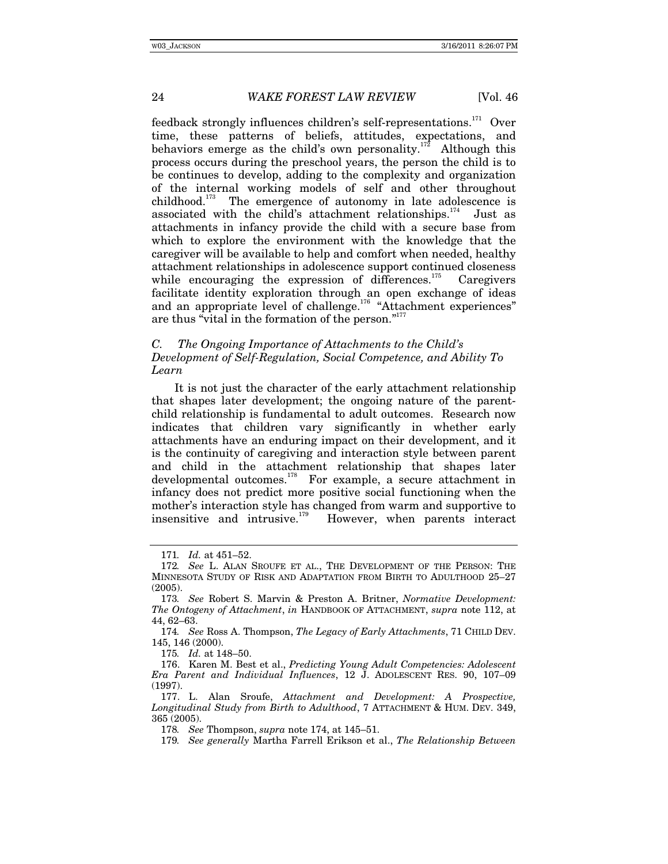feedback strongly influences children's self-representations.171 Over time, these patterns of beliefs, attitudes, expectations, and behaviors emerge as the child's own personality.<sup>172</sup> Although this process occurs during the preschool years, the person the child is to be continues to develop, adding to the complexity and organization of the internal working models of self and other throughout childhood.<sup>173</sup> The emergence of autonomy in late adolescence is associated with the child's attachment relationships. $174$  Just as attachments in infancy provide the child with a secure base from which to explore the environment with the knowledge that the caregiver will be available to help and comfort when needed, healthy attachment relationships in adolescence support continued closeness while encouraging the expression of differences.<sup>175</sup> Caregivers facilitate identity exploration through an open exchange of ideas and an appropriate level of challenge.<sup>176</sup> "Attachment experiences" are thus "vital in the formation of the person."<sup>177</sup>

## *C. The Ongoing Importance of Attachments to the Child's Development of Self-Regulation, Social Competence, and Ability To Learn*

It is not just the character of the early attachment relationship that shapes later development; the ongoing nature of the parentchild relationship is fundamental to adult outcomes. Research now indicates that children vary significantly in whether early attachments have an enduring impact on their development, and it is the continuity of caregiving and interaction style between parent and child in the attachment relationship that shapes later developmental outcomes.178 For example, a secure attachment in infancy does not predict more positive social functioning when the mother's interaction style has changed from warm and supportive to insensitive and intrusive.<sup>179</sup> However, when parents interact However, when parents interact

175*. Id.* at 148–50.

<sup>171</sup>*. Id.* at 451–52.

<sup>172</sup>*. See* L. ALAN SROUFE ET AL., THE DEVELOPMENT OF THE PERSON: THE MINNESOTA STUDY OF RISK AND ADAPTATION FROM BIRTH TO ADULTHOOD 25–27 (2005).

<sup>173</sup>*. See* Robert S. Marvin & Preston A. Britner, *Normative Development: The Ontogeny of Attachment*, *in* HANDBOOK OF ATTACHMENT, *supra* note 112, at 44, 62–63.

<sup>174</sup>*. See* Ross A. Thompson, *The Legacy of Early Attachments*, 71 CHILD DEV. 145, 146 (2000).

 <sup>176.</sup> Karen M. Best et al., *Predicting Young Adult Competencies: Adolescent Era Parent and Individual Influences*, 12 J. ADOLESCENT RES. 90, 107–09 (1997).

 <sup>177.</sup> L. Alan Sroufe, *Attachment and Development: A Prospective, Longitudinal Study from Birth to Adulthood*, 7 ATTACHMENT & HUM. DEV. 349, 365 (2005).

<sup>178</sup>*. See* Thompson, *supra* note 174, at 145–51.

<sup>179</sup>*. See generally* Martha Farrell Erikson et al., *The Relationship Between*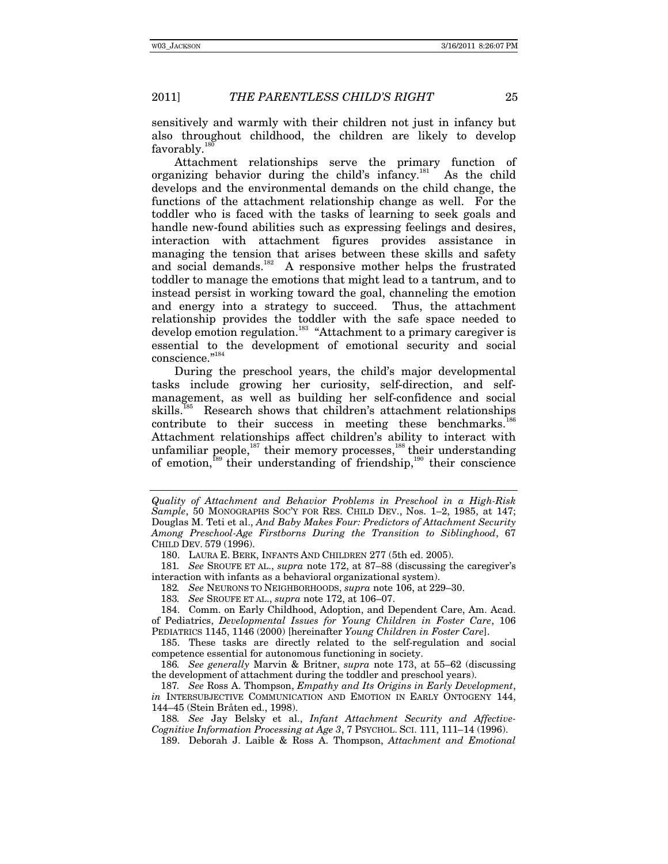sensitively and warmly with their children not just in infancy but also throughout childhood, the children are likely to develop favorably. $\frac{1}{2}$ 

Attachment relationships serve the primary function of organizing behavior during the child's infancy.<sup>181</sup> As the child develops and the environmental demands on the child change, the functions of the attachment relationship change as well. For the toddler who is faced with the tasks of learning to seek goals and handle new-found abilities such as expressing feelings and desires, interaction with attachment figures provides assistance in managing the tension that arises between these skills and safety and social demands.<sup>182</sup> A responsive mother helps the frustrated toddler to manage the emotions that might lead to a tantrum, and to instead persist in working toward the goal, channeling the emotion and energy into a strategy to succeed. Thus, the attachment relationship provides the toddler with the safe space needed to develop emotion regulation.<sup>183</sup> "Attachment to a primary caregiver is essential to the development of emotional security and social conscience."184

During the preschool years, the child's major developmental tasks include growing her curiosity, self-direction, and selfmanagement, as well as building her self-confidence and social skills.<sup>185</sup> Research shows that children's attachment relationships contribute to their success in meeting these benchmarks.<sup>1</sup> Attachment relationships affect children's ability to interact with unfamiliar people,<sup>187</sup> their memory processes,<sup>188</sup> their understanding of emotion,189 their understanding of friendship,190 their conscience

182*. See* NEURONS TO NEIGHBORHOODS, *supra* note 106, at 229–30.

183*. See* SROUFE ET AL., *supra* note 172, at 106–07.

 184. Comm. on Early Childhood, Adoption, and Dependent Care, Am. Acad. of Pediatrics, *Developmental Issues for Young Children in Foster Care*, 106 PEDIATRICS 1145, 1146 (2000) [hereinafter *Young Children in Foster Care*].

 185. These tasks are directly related to the self-regulation and social competence essential for autonomous functioning in society.

186*. See generally* Marvin & Britner, *supra* note 173, at 55–62 (discussing the development of attachment during the toddler and preschool years).

187*. See* Ross A. Thompson, *Empathy and Its Origins in Early Development*, *in* INTERSUBJECTIVE COMMUNICATION AND EMOTION IN EARLY ONTOGENY 144, 144–45 (Stein Bråten ed., 1998).

188*. See* Jay Belsky et al., *Infant Attachment Security and Affective-Cognitive Information Processing at Age 3*, 7 PSYCHOL. SCI. 111, 111–14 (1996).

189. Deborah J. Laible & Ross A. Thompson, *Attachment and Emotional* 

*Quality of Attachment and Behavior Problems in Preschool in a High-Risk Sample*, 50 MONOGRAPHS SOC'Y FOR RES. CHILD DEV., Nos. 1–2, 1985, at 147; Douglas M. Teti et al., *And Baby Makes Four: Predictors of Attachment Security Among Preschool-Age Firstborns During the Transition to Siblinghood*, 67 CHILD DEV. 579 (1996).

 <sup>180.</sup> LAURA E. BERK, INFANTS AND CHILDREN 277 (5th ed. 2005).

<sup>181</sup>*. See* SROUFE ET AL., *supra* note 172, at 87–88 (discussing the caregiver's interaction with infants as a behavioral organizational system).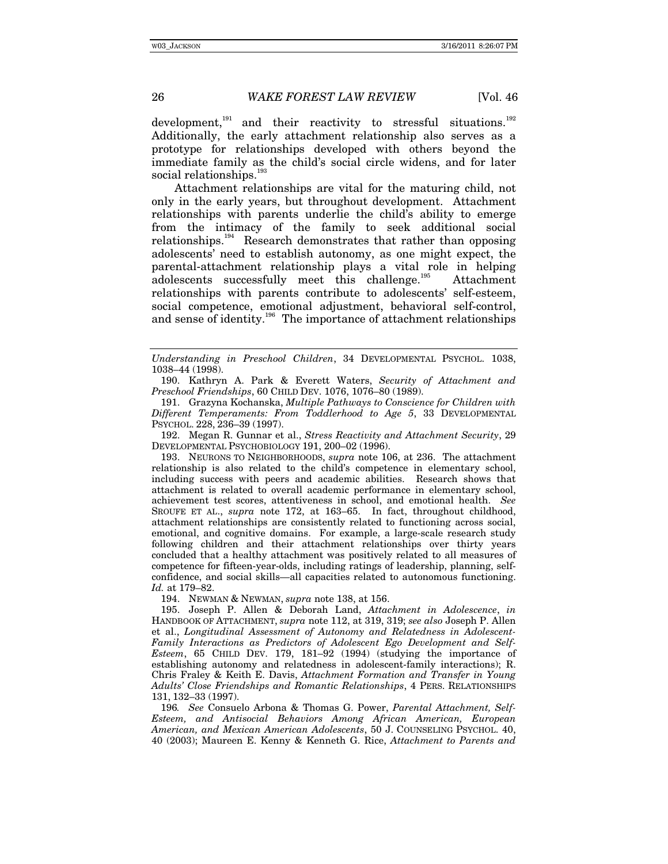development,<sup>191</sup> and their reactivity to stressful situations.<sup>192</sup> Additionally, the early attachment relationship also serves as a prototype for relationships developed with others beyond the immediate family as the child's social circle widens, and for later social relationships.<sup>193</sup>

Attachment relationships are vital for the maturing child, not only in the early years, but throughout development. Attachment relationships with parents underlie the child's ability to emerge from the intimacy of the family to seek additional social relationships.<sup>194</sup> Research demonstrates that rather than opposing adolescents' need to establish autonomy, as one might expect, the parental-attachment relationship plays a vital role in helping adolescents successfully meet this challenge.<sup>195</sup> Attachment relationships with parents contribute to adolescents' self-esteem, social competence, emotional adjustment, behavioral self-control, and sense of identity.<sup>196</sup> The importance of attachment relationships

 192. Megan R. Gunnar et al., *Stress Reactivity and Attachment Security*, 29 DEVELOPMENTAL PSYCHOBIOLOGY 191, 200–02 (1996).

 193. NEURONS TO NEIGHBORHOODS, *supra* note 106, at 236. The attachment relationship is also related to the child's competence in elementary school, including success with peers and academic abilities. Research shows that attachment is related to overall academic performance in elementary school, achievement test scores, attentiveness in school, and emotional health. *See* SROUFE ET AL., *supra* note 172, at 163–65. In fact, throughout childhood, attachment relationships are consistently related to functioning across social, emotional, and cognitive domains. For example, a large-scale research study following children and their attachment relationships over thirty years concluded that a healthy attachment was positively related to all measures of competence for fifteen-year-olds, including ratings of leadership, planning, selfconfidence, and social skills—all capacities related to autonomous functioning. *Id.* at 179–82.

194. NEWMAN & NEWMAN, *supra* note 138, at 156.

 195. Joseph P. Allen & Deborah Land, *Attachment in Adolescence*, *in*  HANDBOOK OF ATTACHMENT, *supra* note 112, at 319, 319; *see also* Joseph P. Allen et al., *Longitudinal Assessment of Autonomy and Relatedness in Adolescent-Family Interactions as Predictors of Adolescent Ego Development and Self-Esteem*, 65 CHILD DEV. 179, 181–92 (1994) (studying the importance of establishing autonomy and relatedness in adolescent-family interactions); R. Chris Fraley & Keith E. Davis, *Attachment Formation and Transfer in Young Adults' Close Friendships and Romantic Relationships*, 4 PERS. RELATIONSHIPS 131, 132–33 (1997).

196*. See* Consuelo Arbona & Thomas G. Power, *Parental Attachment, Self-Esteem, and Antisocial Behaviors Among African American, European American, and Mexican American Adolescents*, 50 J. COUNSELING PSYCHOL. 40, 40 (2003); Maureen E. Kenny & Kenneth G. Rice, *Attachment to Parents and* 

*Understanding in Preschool Children*, 34 DEVELOPMENTAL PSYCHOL. 1038, 1038–44 (1998).

 <sup>190.</sup> Kathryn A. Park & Everett Waters, *Security of Attachment and Preschool Friendships*, 60 CHILD DEV. 1076, 1076–80 (1989).

 <sup>191.</sup> Grazyna Kochanska, *Multiple Pathways to Conscience for Children with Different Temperaments: From Toddlerhood to Age 5*, 33 DEVELOPMENTAL PSYCHOL. 228, 236–39 (1997).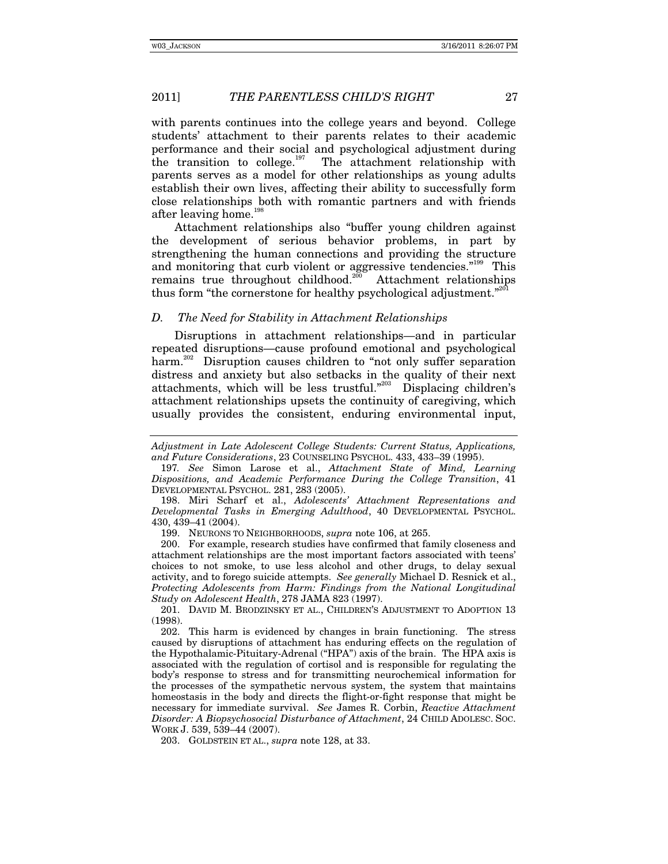with parents continues into the college years and beyond. College students' attachment to their parents relates to their academic performance and their social and psychological adjustment during the transition to college.<sup>197</sup> The attachment relationship with parents serves as a model for other relationships as young adults establish their own lives, affecting their ability to successfully form close relationships both with romantic partners and with friends after leaving home.<sup>198</sup>

Attachment relationships also "buffer young children against the development of serious behavior problems, in part by strengthening the human connections and providing the structure and monitoring that curb violent or aggressive tendencies."<sup>199</sup> This remains true throughout childhood.<sup>200</sup> Attachment relationships thus form "the cornerstone for healthy psychological adjustment."<sup>201</sup>

## *D. The Need for Stability in Attachment Relationships*

Disruptions in attachment relationships—and in particular repeated disruptions—cause profound emotional and psychological harm.<sup>202</sup> Disruption causes children to "not only suffer separation distress and anxiety but also setbacks in the quality of their next attachments, which will be less trustful."203 Displacing children's attachment relationships upsets the continuity of caregiving, which usually provides the consistent, enduring environmental input,

199. NEURONS TO NEIGHBORHOODS, *supra* note 106, at 265.

 200. For example, research studies have confirmed that family closeness and attachment relationships are the most important factors associated with teens' choices to not smoke, to use less alcohol and other drugs, to delay sexual activity, and to forego suicide attempts. *See generally* Michael D. Resnick et al., *Protecting Adolescents from Harm: Findings from the National Longitudinal Study on Adolescent Health*, 278 JAMA 823 (1997).

 201. DAVID M. BRODZINSKY ET AL., CHILDREN'S ADJUSTMENT TO ADOPTION 13 (1998).

 202. This harm is evidenced by changes in brain functioning. The stress caused by disruptions of attachment has enduring effects on the regulation of the Hypothalamic-Pituitary-Adrenal ("HPA") axis of the brain. The HPA axis is associated with the regulation of cortisol and is responsible for regulating the body's response to stress and for transmitting neurochemical information for the processes of the sympathetic nervous system, the system that maintains homeostasis in the body and directs the flight-or-fight response that might be necessary for immediate survival. *See* James R. Corbin, *Reactive Attachment Disorder: A Biopsychosocial Disturbance of Attachment*, 24 CHILD ADOLESC. SOC. WORK J. 539, 539–44 (2007).

203. GOLDSTEIN ET AL., *supra* note 128, at 33.

*Adjustment in Late Adolescent College Students: Current Status, Applications, and Future Considerations*, 23 COUNSELING PSYCHOL. 433, 433–39 (1995).

<sup>197</sup>*. See* Simon Larose et al., *Attachment State of Mind, Learning Dispositions, and Academic Performance During the College Transition*, 41 DEVELOPMENTAL PSYCHOL. 281, 283 (2005).

 <sup>198.</sup> Miri Scharf et al., *Adolescents' Attachment Representations and Developmental Tasks in Emerging Adulthood*, 40 DEVELOPMENTAL PSYCHOL. 430, 439–41 (2004).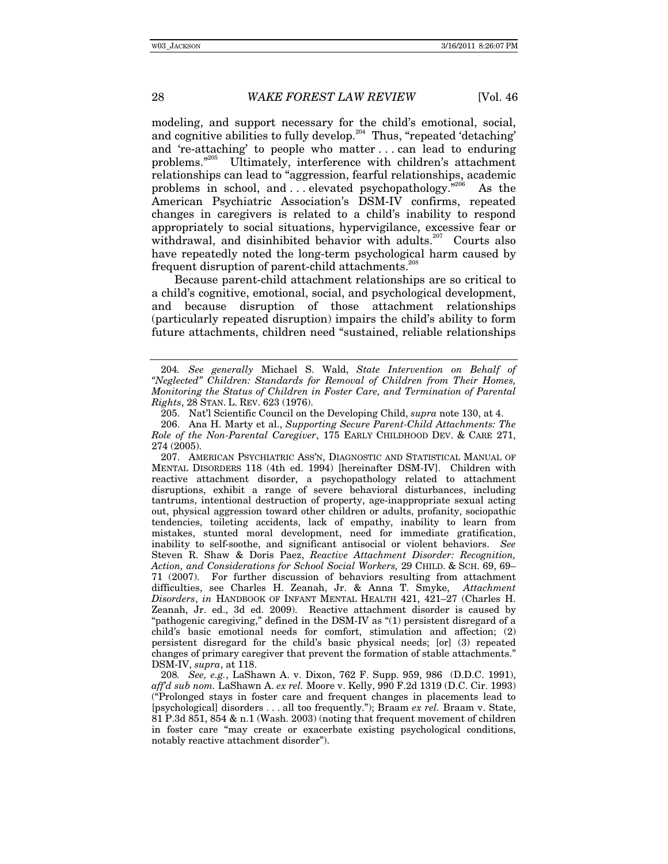modeling, and support necessary for the child's emotional, social, and cognitive abilities to fully develop.<sup>204</sup> Thus, "repeated 'detaching' and 're-attaching' to people who matter . . . can lead to enduring problems."205 Ultimately, interference with children's attachment relationships can lead to "aggression, fearful relationships, academic problems in school, and  $\dots$  elevated psychopathology.<sup>"206</sup> As the American Psychiatric Association's DSM-IV confirms, repeated changes in caregivers is related to a child's inability to respond appropriately to social situations, hypervigilance, excessive fear or withdrawal, and disinhibited behavior with adults.<sup>207</sup> Courts also have repeatedly noted the long-term psychological harm caused by frequent disruption of parent-child attachments.<sup>20</sup>

Because parent-child attachment relationships are so critical to a child's cognitive, emotional, social, and psychological development, and because disruption of those attachment relationships (particularly repeated disruption) impairs the child's ability to form future attachments, children need "sustained, reliable relationships

<sup>204</sup>*. See generally* Michael S. Wald, *State Intervention on Behalf of "Neglected" Children: Standards for Removal of Children from Their Homes, Monitoring the Status of Children in Foster Care, and Termination of Parental Rights*, 28 STAN. L. REV. 623 (1976).

 <sup>205.</sup> Nat'l Scientific Council on the Developing Child, *supra* note 130, at 4.

 <sup>206.</sup> Ana H. Marty et al., *Supporting Secure Parent-Child Attachments: The Role of the Non-Parental Caregiver*, 175 EARLY CHILDHOOD DEV. & CARE 271, 274 (2005).

 <sup>207.</sup> AMERICAN PSYCHIATRIC ASS'N, DIAGNOSTIC AND STATISTICAL MANUAL OF MENTAL DISORDERS 118 (4th ed. 1994) [hereinafter DSM-IV]. Children with reactive attachment disorder, a psychopathology related to attachment disruptions, exhibit a range of severe behavioral disturbances, including tantrums, intentional destruction of property, age-inappropriate sexual acting out, physical aggression toward other children or adults, profanity, sociopathic tendencies, toileting accidents, lack of empathy, inability to learn from mistakes, stunted moral development, need for immediate gratification, inability to self-soothe, and significant antisocial or violent behaviors. *See*  Steven R. Shaw & Doris Paez, *Reactive Attachment Disorder: Recognition, Action, and Considerations for School Social Workers,* 29 CHILD. & SCH. 69, 69– 71 (2007). For further discussion of behaviors resulting from attachment difficulties, see Charles H. Zeanah, Jr. & Anna T. Smyke, *Attachment Disorders*, *in* HANDBOOK OF INFANT MENTAL HEALTH 421, 421–27 (Charles H. Zeanah, Jr. ed., 3d ed. 2009). Reactive attachment disorder is caused by "pathogenic caregiving," defined in the DSM-IV as "(1) persistent disregard of a child's basic emotional needs for comfort, stimulation and affection; (2) persistent disregard for the child's basic physical needs; [or] (3) repeated changes of primary caregiver that prevent the formation of stable attachments." DSM-IV, *supra*, at 118.

<sup>208</sup>*. See, e.g.*, LaShawn A. v. Dixon, 762 F. Supp. 959, 986 (D.D.C. 1991), *aff'd sub nom.* LaShawn A. *ex rel.* Moore v. Kelly, 990 F.2d 1319 (D.C. Cir. 1993) ("Prolonged stays in foster care and frequent changes in placements lead to [psychological] disorders . . . all too frequently."); Braam *ex rel.* Braam v. State, 81 P.3d 851, 854 & n.1 (Wash. 2003) (noting that frequent movement of children in foster care "may create or exacerbate existing psychological conditions, notably reactive attachment disorder").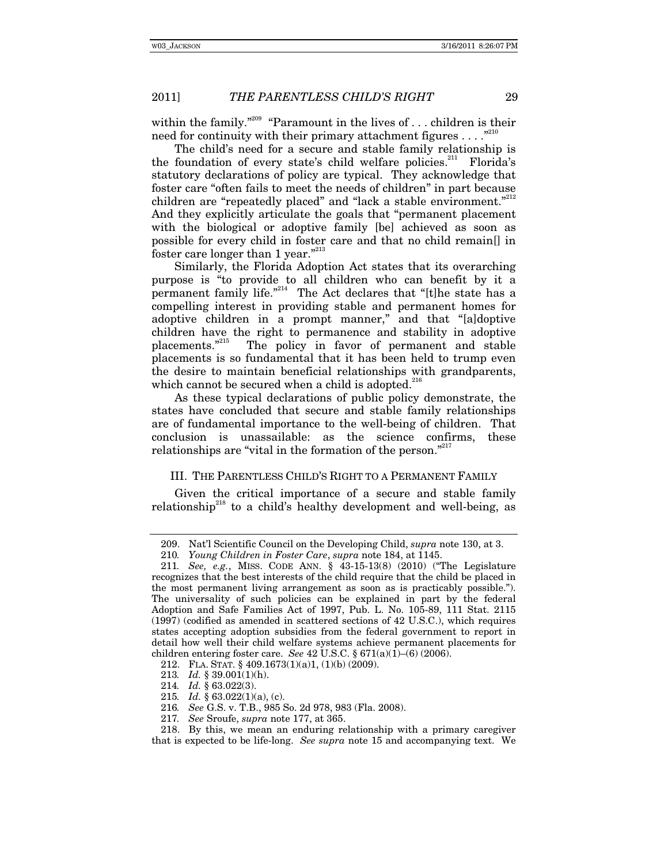within the family."<sup>209</sup> "Paramount in the lives of ... children is their need for continuity with their primary attachment figures  $\dots$ ."

The child's need for a secure and stable family relationship is the foundation of every state's child welfare policies.<sup>211</sup> Florida's statutory declarations of policy are typical. They acknowledge that foster care "often fails to meet the needs of children" in part because children are "repeatedly placed" and "lack a stable environment."<sup>212</sup> And they explicitly articulate the goals that "permanent placement with the biological or adoptive family [be] achieved as soon as possible for every child in foster care and that no child remain[] in foster care longer than 1 year."<sup>213</sup>

Similarly, the Florida Adoption Act states that its overarching purpose is "to provide to all children who can benefit by it a permanent family life."<sup>214</sup> The Act declares that "[t]he state has a compelling interest in providing stable and permanent homes for adoptive children in a prompt manner," and that "[a]doptive children have the right to permanence and stability in adoptive placements."<sup>215</sup> The policy in favor of permanent and stable The policy in favor of permanent and stable placements is so fundamental that it has been held to trump even the desire to maintain beneficial relationships with grandparents, which cannot be secured when a child is adopted. $^{216}$ 

As these typical declarations of public policy demonstrate, the states have concluded that secure and stable family relationships are of fundamental importance to the well-being of children. That conclusion is unassailable: as the science confirms, these relationships are "vital in the formation of the person."<sup>217</sup>

## III. THE PARENTLESS CHILD'S RIGHT TO A PERMANENT FAMILY

Given the critical importance of a secure and stable family relationship<sup>218</sup> to a child's healthy development and well-being, as

- 215*. Id.* § 63.022(1)(a), (c).
- 216*. See* G.S. v. T.B., 985 So. 2d 978, 983 (Fla. 2008).
- 217*. See* Sroufe, *supra* note 177, at 365.

 <sup>209.</sup> Nat'l Scientific Council on the Developing Child, *supra* note 130, at 3.

<sup>210</sup>*. Young Children in Foster Care*, *supra* note 184, at 1145.

<sup>211</sup>*. See, e.g.*, MISS. CODE ANN. § 43-15-13(8) (2010) ("The Legislature recognizes that the best interests of the child require that the child be placed in the most permanent living arrangement as soon as is practicably possible."). The universality of such policies can be explained in part by the federal Adoption and Safe Families Act of 1997, Pub. L. No. 105-89, 111 Stat. 2115 (1997) (codified as amended in scattered sections of 42 U.S.C.), which requires states accepting adoption subsidies from the federal government to report in detail how well their child welfare systems achieve permanent placements for children entering foster care. *See* 42 U.S.C. § 671(a)(1)–(6) (2006).

 <sup>212.</sup> FLA. STAT. § 409.1673(1)(a)1, (1)(b) (2009).

<sup>213</sup>*. Id.* § 39.001(1)(h).

<sup>214</sup>*. Id.* § 63.022(3).

 <sup>218.</sup> By this, we mean an enduring relationship with a primary caregiver that is expected to be life-long. *See supra* note 15 and accompanying text. We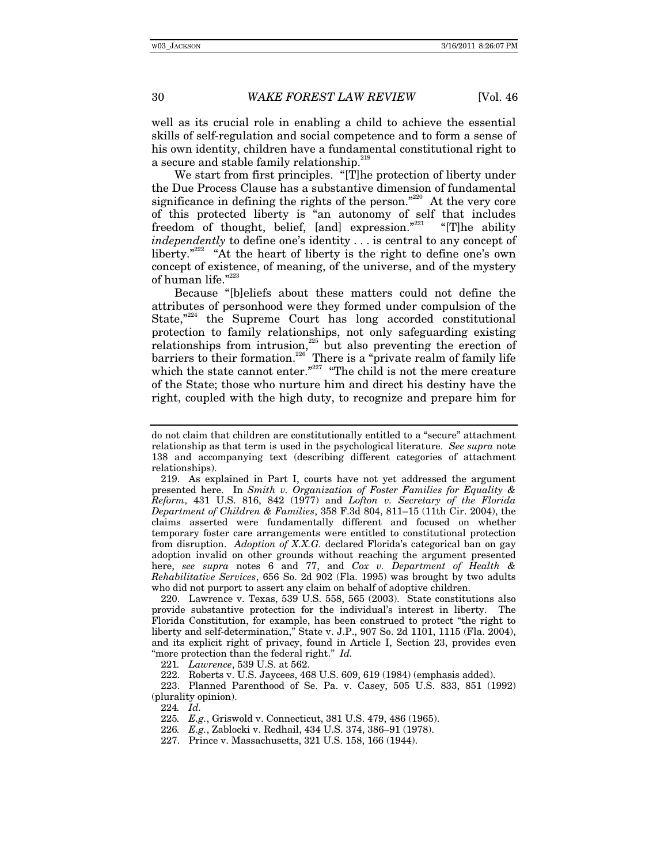well as its crucial role in enabling a child to achieve the essential skills of self-regulation and social competence and to form a sense of his own identity, children have a fundamental constitutional right to a secure and stable family relationship.<sup>219</sup>

We start from first principles. "[T]he protection of liberty under the Due Process Clause has a substantive dimension of fundamental significance in defining the rights of the person."<sup>220</sup> At the very core of this protected liberty is "an autonomy of self that includes freedom of thought, belief, [and] expression."<sup>221</sup> "[T]he ability *independently* to define one's identity . . . is central to any concept of liberty. $"^{222}$  "At the heart of liberty is the right to define one's own concept of existence, of meaning, of the universe, and of the mystery of human life."<sup>223</sup>

Because "[b]eliefs about these matters could not define the attributes of personhood were they formed under compulsion of the State, $n^{224}$  the Supreme Court has long accorded constitutional protection to family relationships, not only safeguarding existing relationships from intrusion,<sup>225</sup> but also preventing the erection of barriers to their formation.<sup>226</sup> There is a "private realm of family life which the state cannot enter."<sup>227</sup> "The child is not the mere creature of the State; those who nurture him and direct his destiny have the right, coupled with the high duty, to recognize and prepare him for

 220. Lawrence v. Texas, 539 U.S. 558, 565 (2003). State constitutions also provide substantive protection for the individual's interest in liberty. The Florida Constitution, for example, has been construed to protect "the right to liberty and self-determination," State v. J.P., 907 So. 2d 1101, 1115 (Fla. 2004), and its explicit right of privacy, found in Article I, Section 23, provides even "more protection than the federal right." *Id.*

221*. Lawrence*, 539 U.S. at 562.

222. Roberts v. U.S. Jaycees, 468 U.S. 609, 619 (1984) (emphasis added).

 223. Planned Parenthood of Se. Pa. v. Casey, 505 U.S. 833, 851 (1992) (plurality opinion).

224*. Id.*

225*. E.g.*, Griswold v. Connecticut, 381 U.S. 479, 486 (1965).

226*. E.g.*, Zablocki v. Redhail, 434 U.S. 374, 386–91 (1978).

227. Prince v. Massachusetts, 321 U.S. 158, 166 (1944).

do not claim that children are constitutionally entitled to a "secure" attachment relationship as that term is used in the psychological literature. *See supra* note 138 and accompanying text (describing different categories of attachment relationships).

 <sup>219.</sup> As explained in Part I, courts have not yet addressed the argument presented here. In *Smith v. Organization of Foster Families for Equality & Reform*, 431 U.S. 816, 842 (1977) and *Lofton v. Secretary of the Florida Department of Children & Families*, 358 F.3d 804, 811–15 (11th Cir. 2004), the claims asserted were fundamentally different and focused on whether temporary foster care arrangements were entitled to constitutional protection from disruption. *Adoption of X.X.G.* declared Florida's categorical ban on gay adoption invalid on other grounds without reaching the argument presented here, *see supra* notes 6 and 77, and *Cox v. Department of Health & Rehabilitative Services*, 656 So. 2d 902 (Fla. 1995) was brought by two adults who did not purport to assert any claim on behalf of adoptive children.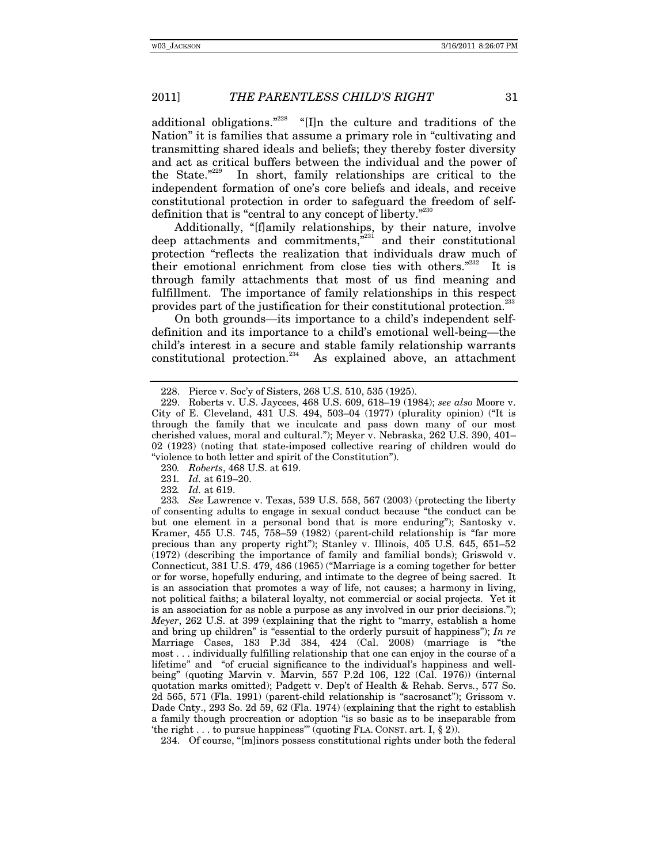additional obligations."<sup>228</sup> "[I]n the culture and traditions of the Nation" it is families that assume a primary role in "cultivating and transmitting shared ideals and beliefs; they thereby foster diversity and act as critical buffers between the individual and the power of the State."229 In short, family relationships are critical to the independent formation of one's core beliefs and ideals, and receive constitutional protection in order to safeguard the freedom of selfdefinition that is "central to any concept of liberty."<sup>230</sup>

Additionally, "[f]amily relationships, by their nature, involve deep attachments and commitments, $e^{231}$  and their constitutional protection "reflects the realization that individuals draw much of their emotional enrichment from close ties with others. $2^{332}$  It is through family attachments that most of us find meaning and fulfillment. The importance of family relationships in this respect provides part of the justification for their constitutional protection.<sup>233</sup>

On both grounds—its importance to a child's independent selfdefinition and its importance to a child's emotional well-being—the child's interest in a secure and stable family relationship warrants constitutional protection. $234$  As explained above, an attachment

230*. Roberts*, 468 U.S. at 619.

231*. Id.* at 619–20.

*Id.* at 619.

234. Of course, "[m]inors possess constitutional rights under both the federal

 <sup>228.</sup> Pierce v. Soc'y of Sisters, 268 U.S. 510, 535 (1925).

 <sup>229.</sup> Roberts v. U.S. Jaycees, 468 U.S. 609, 618–19 (1984); *see also* Moore v. City of E. Cleveland,  $431$  U.S.  $494$ ,  $503-04$  (1977) (plurality opinion) ("It is through the family that we inculcate and pass down many of our most cherished values, moral and cultural."); Meyer v. Nebraska, 262 U.S. 390, 401– 02 (1923) (noting that state-imposed collective rearing of children would do "violence to both letter and spirit of the Constitution").

<sup>233</sup>*. See* Lawrence v. Texas, 539 U.S. 558, 567 (2003) (protecting the liberty of consenting adults to engage in sexual conduct because "the conduct can be but one element in a personal bond that is more enduring"); Santosky v. Kramer, 455 U.S. 745, 758–59 (1982) (parent-child relationship is "far more precious than any property right"); Stanley v. Illinois, 405 U.S. 645, 651–52 (1972) (describing the importance of family and familial bonds); Griswold v. Connecticut, 381 U.S. 479, 486 (1965) ("Marriage is a coming together for better or for worse, hopefully enduring, and intimate to the degree of being sacred. It is an association that promotes a way of life, not causes; a harmony in living, not political faiths; a bilateral loyalty, not commercial or social projects. Yet it is an association for as noble a purpose as any involved in our prior decisions."); *Meyer*, 262 U.S. at 399 (explaining that the right to "marry, establish a home and bring up children" is "essential to the orderly pursuit of happiness"); *In re* Marriage Cases, 183 P.3d 384, 424 (Cal. 2008) (marriage is "the most . . . individually fulfilling relationship that one can enjoy in the course of a lifetime" and "of crucial significance to the individual's happiness and wellbeing" (quoting Marvin v. Marvin, 557 P.2d 106, 122 (Cal. 1976)) (internal quotation marks omitted); Padgett v. Dep't of Health & Rehab. Servs*.*, 577 So. 2d 565, 571 (Fla. 1991) (parent-child relationship is "sacrosanct"); Grissom v. Dade Cnty., 293 So. 2d 59, 62 (Fla. 1974) (explaining that the right to establish a family though procreation or adoption "is so basic as to be inseparable from 'the right . . . to pursue happiness'" (quoting FLA. CONST. art. I,  $\S$  2)).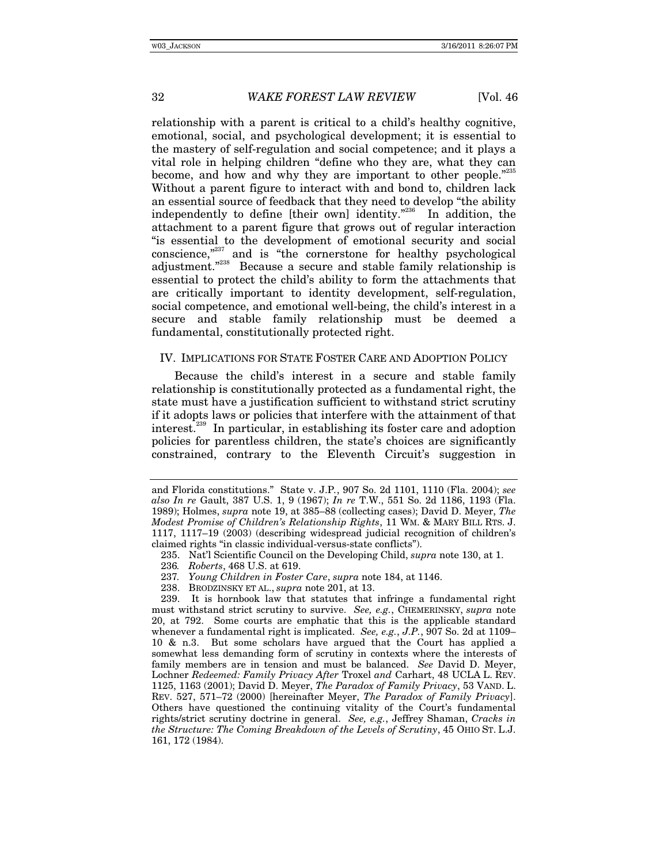relationship with a parent is critical to a child's healthy cognitive, emotional, social, and psychological development; it is essential to the mastery of self-regulation and social competence; and it plays a vital role in helping children "define who they are, what they can become, and how and why they are important to other people."<sup>235</sup> Without a parent figure to interact with and bond to, children lack an essential source of feedback that they need to develop "the ability independently to define [their own] identity."236 In addition, the attachment to a parent figure that grows out of regular interaction "is essential to the development of emotional security and social conscience,"<sup>237</sup> and is "the cornerstone for healthy psychological adjustment."<sup>238</sup> Because a secure and stable family relationship is essential to protect the child's ability to form the attachments that are critically important to identity development, self-regulation, social competence, and emotional well-being, the child's interest in a secure and stable family relationship must be deemed a fundamental, constitutionally protected right.

#### IV. IMPLICATIONS FOR STATE FOSTER CARE AND ADOPTION POLICY

Because the child's interest in a secure and stable family relationship is constitutionally protected as a fundamental right, the state must have a justification sufficient to withstand strict scrutiny if it adopts laws or policies that interfere with the attainment of that interest.239 In particular, in establishing its foster care and adoption policies for parentless children, the state's choices are significantly constrained, contrary to the Eleventh Circuit's suggestion in

- 237*. Young Children in Foster Care*, *supra* note 184, at 1146.
- 238. BRODZINSKY ET AL., *supra* note 201, at 13.

 239. It is hornbook law that statutes that infringe a fundamental right must withstand strict scrutiny to survive. *See, e.g.*, CHEMERINSKY, *supra* note 20, at 792. Some courts are emphatic that this is the applicable standard whenever a fundamental right is implicated. *See, e.g.*, *J.P.*, 907 So. 2d at 1109– 10 & n.3. But some scholars have argued that the Court has applied a somewhat less demanding form of scrutiny in contexts where the interests of family members are in tension and must be balanced. *See* David D. Meyer, Lochner *Redeemed: Family Privacy After* Troxel *and* Carhart, 48 UCLA L. REV. 1125, 1163 (2001); David D. Meyer, *The Paradox of Family Privacy*, 53 VAND. L. REV. 527, 571–72 (2000) [hereinafter Meyer, *The Paradox of Family Privacy*]. Others have questioned the continuing vitality of the Court's fundamental rights/strict scrutiny doctrine in general. *See, e.g.*, Jeffrey Shaman, *Cracks in the Structure: The Coming Breakdown of the Levels of Scrutiny*, 45 OHIO ST. L.J. 161, 172 (1984).

and Florida constitutions." State v. J.P*.*, 907 So. 2d 1101, 1110 (Fla. 2004); *see also In re* Gault, 387 U.S. 1, 9 (1967); *In re* T.W., 551 So. 2d 1186, 1193 (Fla. 1989); Holmes, *supra* note 19, at 385–88 (collecting cases); David D. Meyer, *The Modest Promise of Children's Relationship Rights*, 11 WM. & MARY BILL RTS. J. 1117, 1117–19 (2003) (describing widespread judicial recognition of children's claimed rights "in classic individual-versus-state conflicts").

 <sup>235.</sup> Nat'l Scientific Council on the Developing Child, *supra* note 130, at 1.

<sup>236</sup>*. Roberts*, 468 U.S. at 619.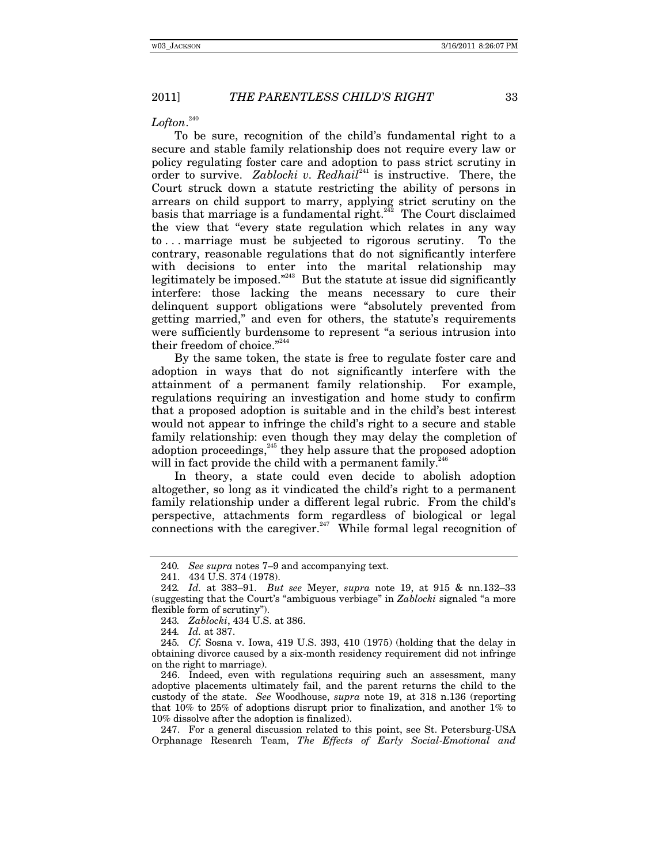*Lofton*. 240

To be sure, recognition of the child's fundamental right to a secure and stable family relationship does not require every law or policy regulating foster care and adoption to pass strict scrutiny in order to survive. *Zablocki v. Redhail*<sup>241</sup> is instructive. There, the Court struck down a statute restricting the ability of persons in arrears on child support to marry, applying strict scrutiny on the basis that marriage is a fundamental right.<sup> $^{242}$ </sup> The Court disclaimed the view that "every state regulation which relates in any way to . . . marriage must be subjected to rigorous scrutiny. To the contrary, reasonable regulations that do not significantly interfere with decisions to enter into the marital relationship may legitimately be imposed."<sup>243</sup> But the statute at issue did significantly interfere: those lacking the means necessary to cure their delinquent support obligations were "absolutely prevented from getting married," and even for others, the statute's requirements were sufficiently burdensome to represent "a serious intrusion into their freedom of choice."<sup>244</sup>

By the same token, the state is free to regulate foster care and adoption in ways that do not significantly interfere with the attainment of a permanent family relationship. For example, regulations requiring an investigation and home study to confirm that a proposed adoption is suitable and in the child's best interest would not appear to infringe the child's right to a secure and stable family relationship: even though they may delay the completion of adoption proceedings, $^{245}$  they help assure that the proposed adoption will in fact provide the child with a permanent family.<sup>2</sup>

In theory, a state could even decide to abolish adoption altogether, so long as it vindicated the child's right to a permanent family relationship under a different legal rubric. From the child's perspective, attachments form regardless of biological or legal connections with the caregiver.<sup>247</sup> While formal legal recognition of

244*. Id.* at 387.

 246. Indeed, even with regulations requiring such an assessment, many adoptive placements ultimately fail, and the parent returns the child to the custody of the state. *See* Woodhouse, *supra* note 19, at 318 n.136 (reporting that 10% to 25% of adoptions disrupt prior to finalization, and another 1% to 10% dissolve after the adoption is finalized).

 247. For a general discussion related to this point, see St. Petersburg-USA Orphanage Research Team, *The Effects of Early Social-Emotional and* 

<sup>240</sup>*. See supra* notes 7–9 and accompanying text.

 <sup>241. 434</sup> U.S. 374 (1978).

<sup>242</sup>*. Id.* at 383–91. *But see* Meyer, *supra* note 19, at 915 & nn.132–33 (suggesting that the Court's "ambiguous verbiage" in *Zablocki* signaled "a more flexible form of scrutiny").

<sup>243</sup>*. Zablocki*, 434 U.S. at 386.

<sup>245</sup>*. Cf.* Sosna v. Iowa, 419 U.S. 393, 410 (1975) (holding that the delay in obtaining divorce caused by a six-month residency requirement did not infringe on the right to marriage).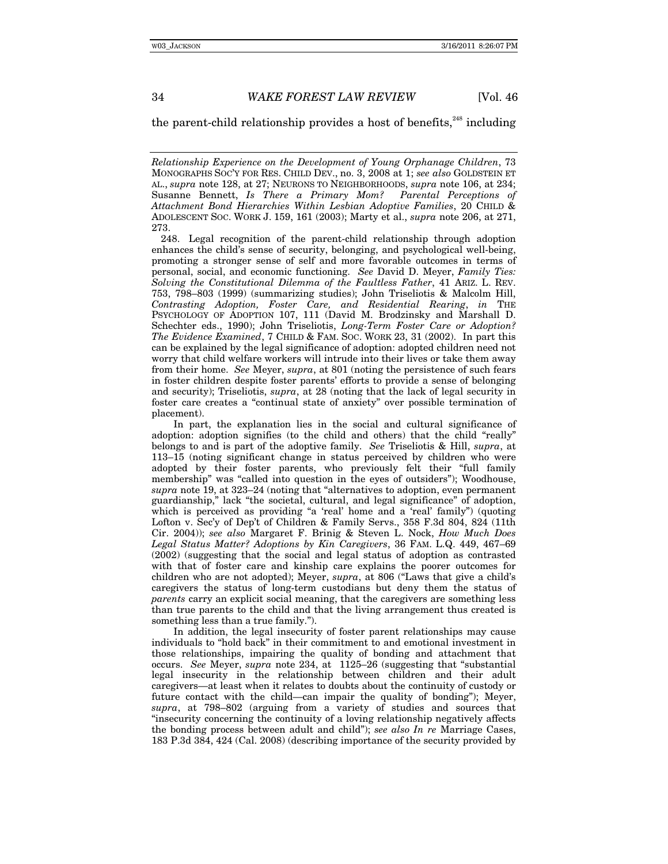the parent-child relationship provides a host of benefits.<sup>248</sup> including

*Relationship Experience on the Development of Young Orphanage Children*, 73 MONOGRAPHS SOC'Y FOR RES. CHILD DEV., no. 3, 2008 at 1; *see also* GOLDSTEIN ET AL., *supra* note 128, at 27; NEURONS TO NEIGHBORHOODS, *supra* note 106, at 234; Susanne Bennett, *Is There a Primary Mom? Parental Perceptions of Attachment Bond Hierarchies Within Lesbian Adoptive Families*, 20 CHILD & ADOLESCENT SOC. WORK J. 159, 161 (2003); Marty et al., *supra* note 206, at 271, 273.

 248. Legal recognition of the parent-child relationship through adoption enhances the child's sense of security, belonging, and psychological well-being, promoting a stronger sense of self and more favorable outcomes in terms of personal, social, and economic functioning. *See* David D. Meyer, *Family Ties: Solving the Constitutional Dilemma of the Faultless Father*, 41 ARIZ. L. REV. 753, 798–803 (1999) (summarizing studies); John Triseliotis & Malcolm Hill, *Contrasting Adoption, Foster Care, and Residential Rearing*, *in* THE PSYCHOLOGY OF ADOPTION 107, 111 (David M. Brodzinsky and Marshall D. Schechter eds., 1990); John Triseliotis, *Long-Term Foster Care or Adoption? The Evidence Examined*, 7 CHILD & FAM. SOC. WORK 23, 31 (2002). In part this can be explained by the legal significance of adoption: adopted children need not worry that child welfare workers will intrude into their lives or take them away from their home. *See* Meyer, *supra*, at 801 (noting the persistence of such fears in foster children despite foster parents' efforts to provide a sense of belonging and security); Triseliotis, *supra*, at 28 (noting that the lack of legal security in foster care creates a "continual state of anxiety" over possible termination of placement).

In part, the explanation lies in the social and cultural significance of adoption: adoption signifies (to the child and others) that the child "really" belongs to and is part of the adoptive family. *See* Triseliotis & Hill, *supra*, at 113–15 (noting significant change in status perceived by children who were adopted by their foster parents, who previously felt their "full family membership" was "called into question in the eyes of outsiders"); Woodhouse, *supra* note 19, at 323–24 (noting that "alternatives to adoption, even permanent guardianship," lack "the societal, cultural, and legal significance" of adoption, which is perceived as providing "a 'real' home and a 'real' family") (quoting Lofton v. Sec'y of Dep't of Children & Family Servs., 358 F.3d 804, 824 (11th Cir. 2004)); *see also* Margaret F. Brinig & Steven L. Nock, *How Much Does Legal Status Matter? Adoptions by Kin Caregivers*, 36 FAM. L.Q. 449, 467–69 (2002) (suggesting that the social and legal status of adoption as contrasted with that of foster care and kinship care explains the poorer outcomes for children who are not adopted); Meyer, *supra*, at 806 ("Laws that give a child's caregivers the status of long-term custodians but deny them the status of *parents* carry an explicit social meaning, that the caregivers are something less than true parents to the child and that the living arrangement thus created is something less than a true family.").

In addition, the legal insecurity of foster parent relationships may cause individuals to "hold back" in their commitment to and emotional investment in those relationships, impairing the quality of bonding and attachment that occurs. *See* Meyer, *supra* note 234, at 1125–26 (suggesting that "substantial legal insecurity in the relationship between children and their adult caregivers—at least when it relates to doubts about the continuity of custody or future contact with the child—can impair the quality of bonding"); Meyer, *supra*, at 798–802 (arguing from a variety of studies and sources that "insecurity concerning the continuity of a loving relationship negatively affects the bonding process between adult and child"); *see also In re* Marriage Cases, 183 P.3d 384, 424 (Cal. 2008) (describing importance of the security provided by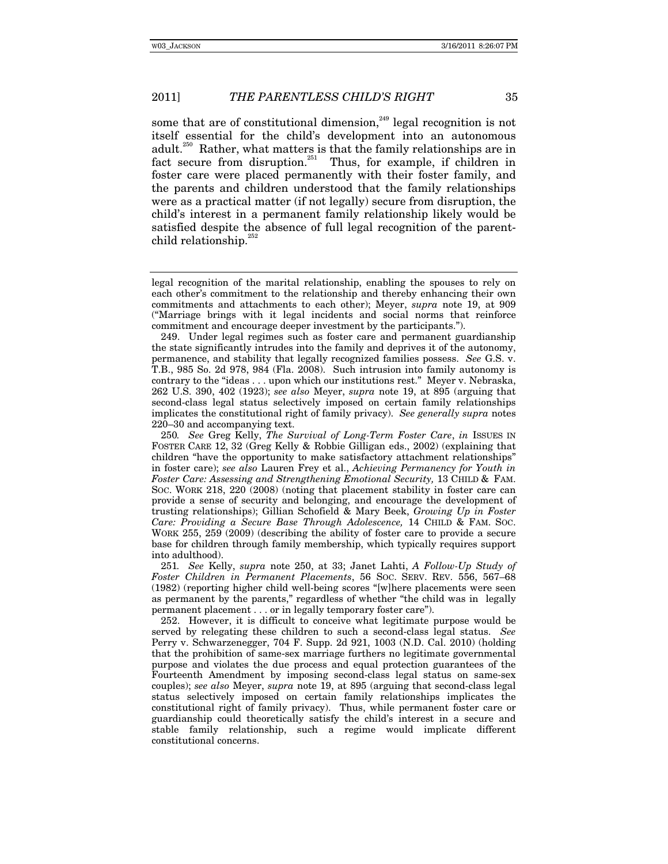some that are of constitutional dimension, $^{249}$  legal recognition is not itself essential for the child's development into an autonomous adult.<sup>250</sup> Rather, what matters is that the family relationships are in fact secure from disruption.<sup>251</sup> Thus, for example, if children in foster care were placed permanently with their foster family, and the parents and children understood that the family relationships were as a practical matter (if not legally) secure from disruption, the child's interest in a permanent family relationship likely would be satisfied despite the absence of full legal recognition of the parentchild relationship.<sup>27</sup>

250*. See* Greg Kelly, *The Survival of Long-Term Foster Care*, *in* ISSUES IN FOSTER CARE 12, 32 (Greg Kelly & Robbie Gilligan eds., 2002) (explaining that children "have the opportunity to make satisfactory attachment relationships" in foster care); *see also* Lauren Frey et al., *Achieving Permanency for Youth in Foster Care: Assessing and Strengthening Emotional Security,* 13 CHILD & FAM. SOC. WORK 218, 220 (2008) (noting that placement stability in foster care can provide a sense of security and belonging, and encourage the development of trusting relationships); Gillian Schofield & Mary Beek, *Growing Up in Foster Care: Providing a Secure Base Through Adolescence,* 14 CHILD & FAM. SOC. WORK 255, 259 (2009) (describing the ability of foster care to provide a secure base for children through family membership, which typically requires support into adulthood).

251*. See* Kelly, *supra* note 250, at 33; Janet Lahti, *A Follow-Up Study of Foster Children in Permanent Placements*, 56 SOC. SERV. REV. 556, 567–68 (1982) (reporting higher child well-being scores "[w]here placements were seen as permanent by the parents," regardless of whether "the child was in legally permanent placement . . . or in legally temporary foster care").

 252. However, it is difficult to conceive what legitimate purpose would be served by relegating these children to such a second-class legal status. *See* Perry v. Schwarzenegger, 704 F. Supp. 2d 921, 1003 (N.D. Cal. 2010) (holding that the prohibition of same-sex marriage furthers no legitimate governmental purpose and violates the due process and equal protection guarantees of the Fourteenth Amendment by imposing second-class legal status on same-sex couples); *see also* Meyer, *supra* note 19, at 895 (arguing that second-class legal status selectively imposed on certain family relationships implicates the constitutional right of family privacy). Thus, while permanent foster care or guardianship could theoretically satisfy the child's interest in a secure and stable family relationship, such a regime would implicate different constitutional concerns.

legal recognition of the marital relationship, enabling the spouses to rely on each other's commitment to the relationship and thereby enhancing their own commitments and attachments to each other); Meyer, *supra* note 19, at 909 ("Marriage brings with it legal incidents and social norms that reinforce commitment and encourage deeper investment by the participants.").

 <sup>249.</sup> Under legal regimes such as foster care and permanent guardianship the state significantly intrudes into the family and deprives it of the autonomy, permanence, and stability that legally recognized families possess. *See* G.S. v. T.B., 985 So. 2d 978, 984 (Fla. 2008). Such intrusion into family autonomy is contrary to the "ideas . . . upon which our institutions rest." Meyer v. Nebraska, 262 U.S. 390, 402 (1923); *see also* Meyer, *supra* note 19, at 895 (arguing that second-class legal status selectively imposed on certain family relationships implicates the constitutional right of family privacy). *See generally supra* notes 220–30 and accompanying text.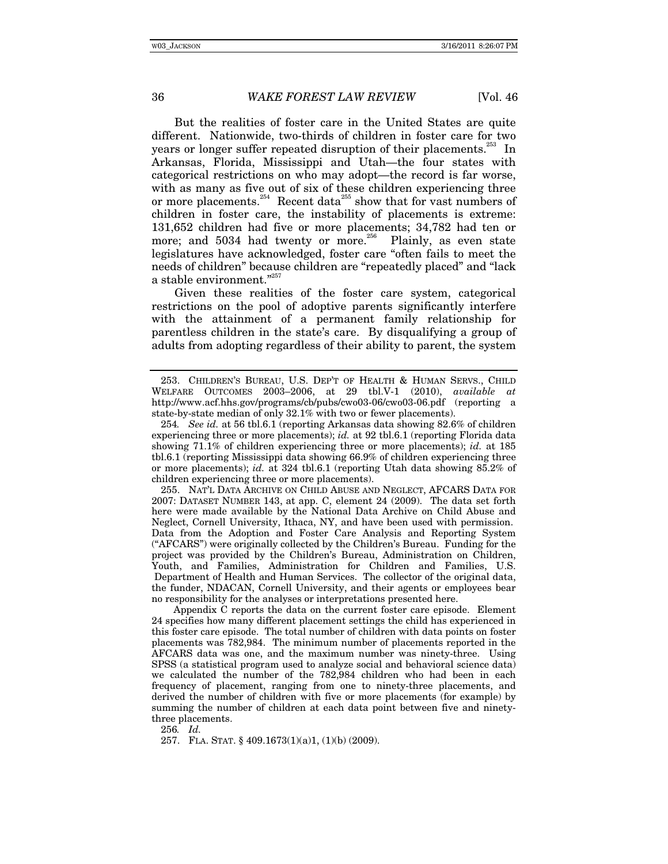But the realities of foster care in the United States are quite different. Nationwide, two-thirds of children in foster care for two years or longer suffer repeated disruption of their placements.<sup>253</sup> In Arkansas, Florida, Mississippi and Utah—the four states with categorical restrictions on who may adopt—the record is far worse, with as many as five out of six of these children experiencing three or more placements.<sup>254</sup> Recent data<sup>255</sup> show that for vast numbers of children in foster care, the instability of placements is extreme: 131,652 children had five or more placements; 34,782 had ten or more; and  $5034$  had twenty or more.<sup>256</sup> Plainly, as even state legislatures have acknowledged, foster care "often fails to meet the needs of children" because children are "repeatedly placed" and "lack a stable environment."<sup>257</sup>

Given these realities of the foster care system, categorical restrictions on the pool of adoptive parents significantly interfere with the attainment of a permanent family relationship for parentless children in the state's care. By disqualifying a group of adults from adopting regardless of their ability to parent, the system

 255. NAT'L DATA ARCHIVE ON CHILD ABUSE AND NEGLECT, AFCARS DATA FOR 2007: DATASET NUMBER 143, at app. C, element 24 (2009). The data set forth here were made available by the National Data Archive on Child Abuse and Neglect, Cornell University, Ithaca, NY, and have been used with permission. Data from the Adoption and Foster Care Analysis and Reporting System ("AFCARS") were originally collected by the Children's Bureau. Funding for the project was provided by the Children's Bureau, Administration on Children, Youth, and Families, Administration for Children and Families, U.S. Department of Health and Human Services. The collector of the original data, the funder, NDACAN, Cornell University, and their agents or employees bear no responsibility for the analyses or interpretations presented here.

Appendix C reports the data on the current foster care episode. Element 24 specifies how many different placement settings the child has experienced in this foster care episode. The total number of children with data points on foster placements was 782,984. The minimum number of placements reported in the AFCARS data was one, and the maximum number was ninety-three. Using SPSS (a statistical program used to analyze social and behavioral science data) we calculated the number of the 782,984 children who had been in each frequency of placement, ranging from one to ninety-three placements, and derived the number of children with five or more placements (for example) by summing the number of children at each data point between five and ninetythree placements.

256*. Id.*

257. FLA. STAT. § 409.1673(1)(a)1, (1)(b) (2009).

 <sup>253.</sup> CHILDREN'S BUREAU, U.S. DEP'T OF HEALTH & HUMAN SERVS., CHILD WELFARE OUTCOMES 2003–2006, at 29 tbl.V-1 (2010), *available at* http://www.acf.hhs.gov/programs/cb/pubs/cwo03-06/cwo03-06.pdf (reporting a state-by-state median of only 32.1% with two or fewer placements).

<sup>254</sup>*. See id.* at 56 tbl.6.1 (reporting Arkansas data showing 82.6% of children experiencing three or more placements); *id.* at 92 tbl.6.1 (reporting Florida data showing 71.1% of children experiencing three or more placements); *id.* at 185 tbl.6.1 (reporting Mississippi data showing 66.9% of children experiencing three or more placements); *id.* at 324 tbl.6.1 (reporting Utah data showing 85.2% of children experiencing three or more placements).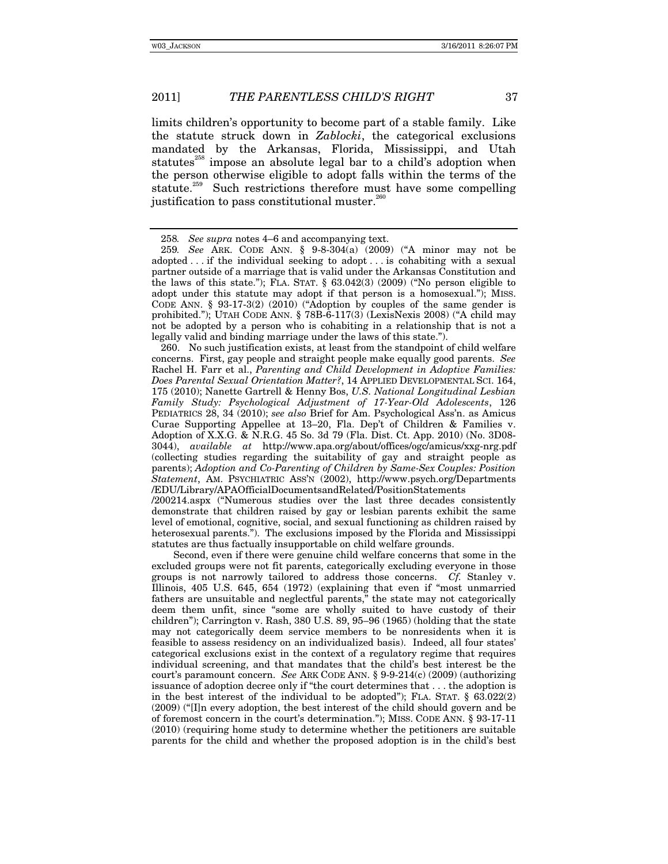limits children's opportunity to become part of a stable family. Like the statute struck down in *Zablocki*, the categorical exclusions mandated by the Arkansas, Florida, Mississippi, and Utah statutes<sup>258</sup> impose an absolute legal bar to a child's adoption when the person otherwise eligible to adopt falls within the terms of the statute.<sup>259</sup> Such restrictions therefore must have some compelling justification to pass constitutional muster.<sup>260</sup>

 260. No such justification exists, at least from the standpoint of child welfare concerns. First, gay people and straight people make equally good parents. *See* Rachel H. Farr et al., *Parenting and Child Development in Adoptive Families: Does Parental Sexual Orientation Matter?*, 14 APPLIED DEVELOPMENTAL SCI. 164, 175 (2010); Nanette Gartrell & Henny Bos, *U.S. National Longitudinal Lesbian Family Study: Psychological Adjustment of 17-Year-Old Adolescents*, 126 PEDIATRICS 28, 34 (2010); *see also* Brief for Am. Psychological Ass'n. as Amicus Curae Supporting Appellee at 13–20, Fla. Dep't of Children & Families v. Adoption of X.X.G. & N.R.G. 45 So. 3d 79 (Fla. Dist. Ct. App. 2010) (No. 3D08- 3044), *available at* http://www.apa.org/about/offices/ogc/amicus/xxg-nrg.pdf (collecting studies regarding the suitability of gay and straight people as parents); *Adoption and Co-Parenting of Children by Same-Sex Couples: Position Statement*, AM. PSYCHIATRIC ASS'N (2002), http://www.psych.org/Departments /EDU/Library/APAOfficialDocumentsandRelated/PositionStatements /200214.aspx ("Numerous studies over the last three decades consistently

demonstrate that children raised by gay or lesbian parents exhibit the same level of emotional, cognitive, social, and sexual functioning as children raised by heterosexual parents."). The exclusions imposed by the Florida and Mississippi statutes are thus factually insupportable on child welfare grounds.

Second, even if there were genuine child welfare concerns that some in the excluded groups were not fit parents, categorically excluding everyone in those groups is not narrowly tailored to address those concerns. *Cf.* Stanley v. Illinois, 405 U.S. 645, 654 (1972) (explaining that even if "most unmarried fathers are unsuitable and neglectful parents," the state may not categorically deem them unfit, since "some are wholly suited to have custody of their children"); Carrington v. Rash, 380 U.S. 89, 95–96 (1965) (holding that the state may not categorically deem service members to be nonresidents when it is feasible to assess residency on an individualized basis). Indeed, all four states' categorical exclusions exist in the context of a regulatory regime that requires individual screening, and that mandates that the child's best interest be the court's paramount concern. *See* ARK CODE ANN. § 9-9-214(c) (2009) (authorizing issuance of adoption decree only if "the court determines that . . . the adoption is in the best interest of the individual to be adopted"); FLA. STAT. § 63.022(2) (2009) ("[I]n every adoption, the best interest of the child should govern and be of foremost concern in the court's determination."); MISS. CODE ANN. § 93-17-11 (2010) (requiring home study to determine whether the petitioners are suitable parents for the child and whether the proposed adoption is in the child's best

<sup>258</sup>*. See supra* notes 4–6 and accompanying text.

<sup>259</sup>*. See* ARK. CODE ANN. § 9-8-304(a) (2009) ("A minor may not be adopted . . . if the individual seeking to adopt . . . is cohabiting with a sexual partner outside of a marriage that is valid under the Arkansas Constitution and the laws of this state."); FLA. STAT.  $\S$  63.042(3) (2009) ("No person eligible to adopt under this statute may adopt if that person is a homosexual."); MISS. CODE ANN. § 93-17-3(2) (2010) ("Adoption by couples of the same gender is prohibited."); UTAH CODE ANN. § 78B-6-117(3) (LexisNexis 2008) ("A child may not be adopted by a person who is cohabiting in a relationship that is not a legally valid and binding marriage under the laws of this state.").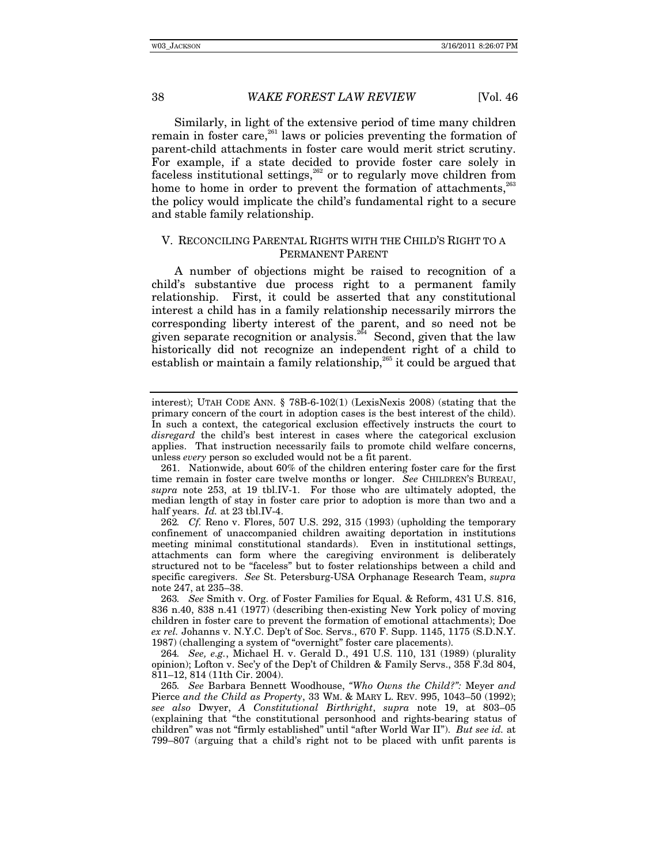Similarly, in light of the extensive period of time many children remain in foster care,<sup>261</sup> laws or policies preventing the formation of parent-child attachments in foster care would merit strict scrutiny. For example, if a state decided to provide foster care solely in faceless institutional settings,<sup>262</sup> or to regularly move children from home to home in order to prevent the formation of attachments, $^{263}$ the policy would implicate the child's fundamental right to a secure and stable family relationship.

#### V. RECONCILING PARENTAL RIGHTS WITH THE CHILD'S RIGHT TO A PERMANENT PARENT

A number of objections might be raised to recognition of a child's substantive due process right to a permanent family relationship. First, it could be asserted that any constitutional interest a child has in a family relationship necessarily mirrors the corresponding liberty interest of the parent, and so need not be given separate recognition or analysis.<sup>264</sup> Second, given that the law historically did not recognize an independent right of a child to establish or maintain a family relationship,<sup>265</sup> it could be argued that

264*. See, e.g.*, Michael H. v. Gerald D., 491 U.S. 110, 131 (1989) (plurality opinion); Lofton v. Sec'y of the Dep't of Children & Family Servs., 358 F.3d 804, 811–12, 814 (11th Cir. 2004).

interest); UTAH CODE ANN. § 78B-6-102(1) (LexisNexis 2008) (stating that the primary concern of the court in adoption cases is the best interest of the child). In such a context, the categorical exclusion effectively instructs the court to *disregard* the child's best interest in cases where the categorical exclusion applies. That instruction necessarily fails to promote child welfare concerns, unless *every* person so excluded would not be a fit parent.

 <sup>261.</sup> Nationwide, about 60% of the children entering foster care for the first time remain in foster care twelve months or longer. *See* CHILDREN'S BUREAU, *supra* note 253, at 19 tbl.IV-1. For those who are ultimately adopted, the median length of stay in foster care prior to adoption is more than two and a half years. *Id.* at 23 tbl.IV-4.

<sup>262</sup>*. Cf.* Reno v. Flores, 507 U.S. 292, 315 (1993) (upholding the temporary confinement of unaccompanied children awaiting deportation in institutions meeting minimal constitutional standards). Even in institutional settings, attachments can form where the caregiving environment is deliberately structured not to be "faceless" but to foster relationships between a child and specific caregivers. *See* St. Petersburg-USA Orphanage Research Team, *supra* note 247, at 235–38.

<sup>263</sup>*. See* Smith v. Org. of Foster Families for Equal. & Reform, 431 U.S. 816, 836 n.40, 838 n.41 (1977) (describing then-existing New York policy of moving children in foster care to prevent the formation of emotional attachments); Doe *ex rel.* Johanns v. N.Y.C. Dep't of Soc. Servs., 670 F. Supp. 1145, 1175 (S.D.N.Y. 1987) (challenging a system of "overnight" foster care placements).

<sup>265</sup>*. See* Barbara Bennett Woodhouse, *"Who Owns the Child?":* Meyer *and*  Pierce *and the Child as Property*, 33 WM. & MARY L. REV. 995, 1043–50 (1992); *see also* Dwyer, *A Constitutional Birthright*, *supra* note 19, at 803–05 (explaining that "the constitutional personhood and rights-bearing status of children" was not "firmly established" until "after World War II"). *But see id.* at 799–807 (arguing that a child's right not to be placed with unfit parents is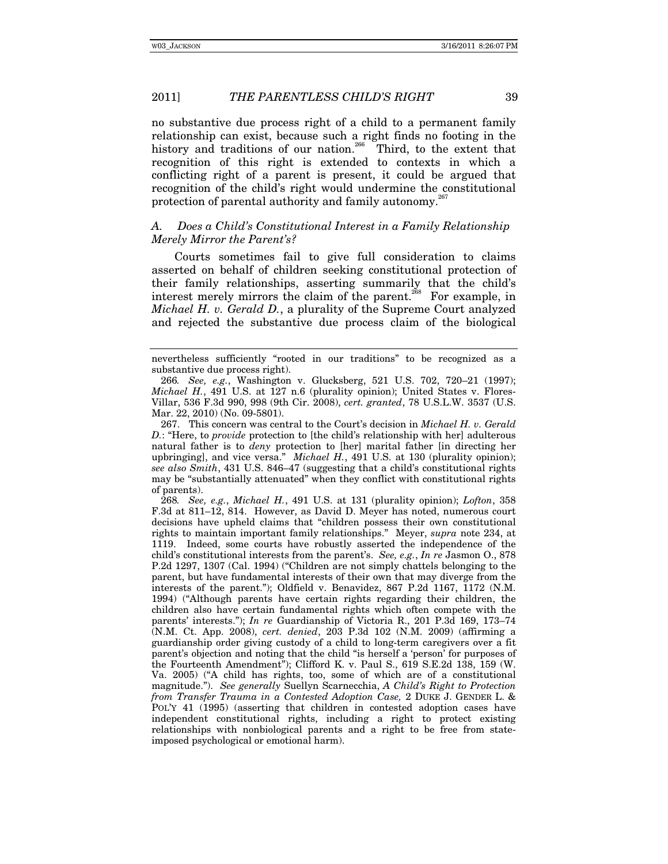no substantive due process right of a child to a permanent family relationship can exist, because such a right finds no footing in the history and traditions of our nation.<sup>266</sup> Third, to the extent that recognition of this right is extended to contexts in which a conflicting right of a parent is present, it could be argued that recognition of the child's right would undermine the constitutional protection of parental authority and family autonomy.<sup>2</sup>

## *A. Does a Child's Constitutional Interest in a Family Relationship Merely Mirror the Parent's?*

Courts sometimes fail to give full consideration to claims asserted on behalf of children seeking constitutional protection of their family relationships, asserting summarily that the child's interest merely mirrors the claim of the parent.<sup>268</sup> For example, in *Michael H. v. Gerald D.*, a plurality of the Supreme Court analyzed and rejected the substantive due process claim of the biological

 267. This concern was central to the Court's decision in *Michael H. v. Gerald D.*: "Here, to *provide* protection to [the child's relationship with her] adulterous natural father is to *deny* protection to [her] marital father [in directing her upbringing], and vice versa." *Michael H.*, 491 U.S. at 130 (plurality opinion); *see also Smith*, 431 U.S. 846–47 (suggesting that a child's constitutional rights may be "substantially attenuated" when they conflict with constitutional rights of parents).

268*. See, e.g.*, *Michael H.*, 491 U.S. at 131 (plurality opinion); *Lofton*, 358 F.3d at 811–12, 814. However, as David D. Meyer has noted, numerous court decisions have upheld claims that "children possess their own constitutional rights to maintain important family relationships." Meyer, *supra* note 234, at 1119. Indeed, some courts have robustly asserted the independence of the child's constitutional interests from the parent's. *See, e.g.*, *In re* Jasmon O., 878 P.2d 1297, 1307 (Cal. 1994) ("Children are not simply chattels belonging to the parent, but have fundamental interests of their own that may diverge from the interests of the parent."); Oldfield v. Benavidez, 867 P.2d 1167, 1172 (N.M. 1994) ("Although parents have certain rights regarding their children, the children also have certain fundamental rights which often compete with the parents' interests."); *In re* Guardianship of Victoria R., 201 P.3d 169, 173–74 (N.M. Ct. App. 2008), *cert. denied*, 203 P.3d 102 (N.M. 2009) (affirming a guardianship order giving custody of a child to long-term caregivers over a fit parent's objection and noting that the child "is herself a 'person' for purposes of the Fourteenth Amendment"); Clifford K. v. Paul S., 619 S.E.2d 138, 159 (W. Va. 2005) ("A child has rights, too, some of which are of a constitutional magnitude."). *See generally* Suellyn Scarnecchia, *A Child's Right to Protection from Transfer Trauma in a Contested Adoption Case,* 2 DUKE J. GENDER L. & POL'Y 41 (1995) (asserting that children in contested adoption cases have independent constitutional rights, including a right to protect existing relationships with nonbiological parents and a right to be free from stateimposed psychological or emotional harm).

nevertheless sufficiently "rooted in our traditions" to be recognized as a substantive due process right).

<sup>266</sup>*. See, e.g.*, Washington v. Glucksberg, 521 U.S. 702, 720–21 (1997); *Michael H.*, 491 U.S. at 127 n.6 (plurality opinion); United States v. Flores-Villar, 536 F.3d 990, 998 (9th Cir. 2008), *cert. granted*, 78 U.S.L.W. 3537 (U.S. Mar. 22, 2010) (No. 09-5801).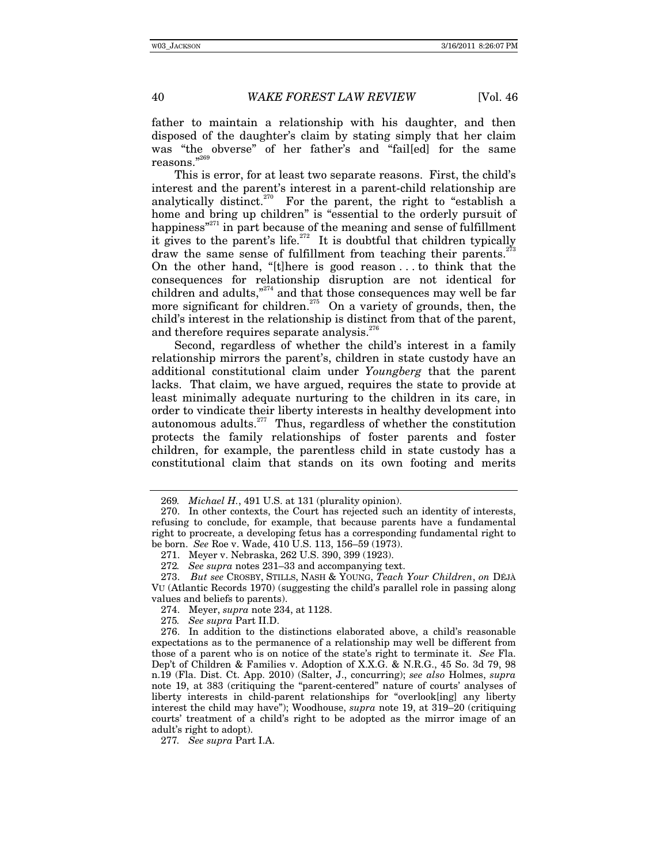father to maintain a relationship with his daughter, and then disposed of the daughter's claim by stating simply that her claim was "the obverse" of her father's and "fail[ed] for the same reasons."269

This is error, for at least two separate reasons. First, the child's interest and the parent's interest in a parent-child relationship are analytically distinct.<sup>270</sup> For the parent, the right to "establish a home and bring up children" is "essential to the orderly pursuit of happiness $^{271}$  in part because of the meaning and sense of fulfillment it gives to the parent's life.<sup>272</sup> It is doubtful that children typically draw the same sense of fulfillment from teaching their parents.<sup>2</sup> On the other hand, "[t]here is good reason . . . to think that the consequences for relationship disruption are not identical for children and adults,"274 and that those consequences may well be far more significant for children.<sup>275</sup> On a variety of grounds, then, the child's interest in the relationship is distinct from that of the parent, and therefore requires separate analysis.  $276$ 

Second, regardless of whether the child's interest in a family relationship mirrors the parent's, children in state custody have an additional constitutional claim under *Youngberg* that the parent lacks. That claim, we have argued, requires the state to provide at least minimally adequate nurturing to the children in its care, in order to vindicate their liberty interests in healthy development into autonomous adults. $277$  Thus, regardless of whether the constitution protects the family relationships of foster parents and foster children, for example, the parentless child in state custody has a constitutional claim that stands on its own footing and merits

272*. See supra* notes 231–33 and accompanying text.

275*. See supra* Part II.D.

 276. In addition to the distinctions elaborated above, a child's reasonable expectations as to the permanence of a relationship may well be different from those of a parent who is on notice of the state's right to terminate it. *See* Fla. Dep't of Children & Families v. Adoption of X.X.G. & N.R.G., 45 So. 3d 79, 98 n.19 (Fla. Dist. Ct. App. 2010) (Salter, J., concurring); *see also* Holmes, *supra* note 19, at 383 (critiquing the "parent-centered" nature of courts' analyses of liberty interests in child-parent relationships for "overlook[ing] any liberty interest the child may have"); Woodhouse, *supra* note 19, at 319–20 (critiquing courts' treatment of a child's right to be adopted as the mirror image of an adult's right to adopt).

277*. See supra* Part I.A.

<sup>269</sup>*. Michael H.*, 491 U.S. at 131 (plurality opinion).

 <sup>270.</sup> In other contexts, the Court has rejected such an identity of interests, refusing to conclude, for example, that because parents have a fundamental right to procreate, a developing fetus has a corresponding fundamental right to be born. *See* Roe v. Wade, 410 U.S. 113, 156–59 (1973).

 <sup>271.</sup> Meyer v. Nebraska, 262 U.S. 390, 399 (1923).

 <sup>273.</sup> *But see* CROSBY, STILLS, NASH & YOUNG, *Teach Your Children*, *on* DÉJÀ VU (Atlantic Records 1970) (suggesting the child's parallel role in passing along values and beliefs to parents).

 <sup>274.</sup> Meyer, *supra* note 234, at 1128.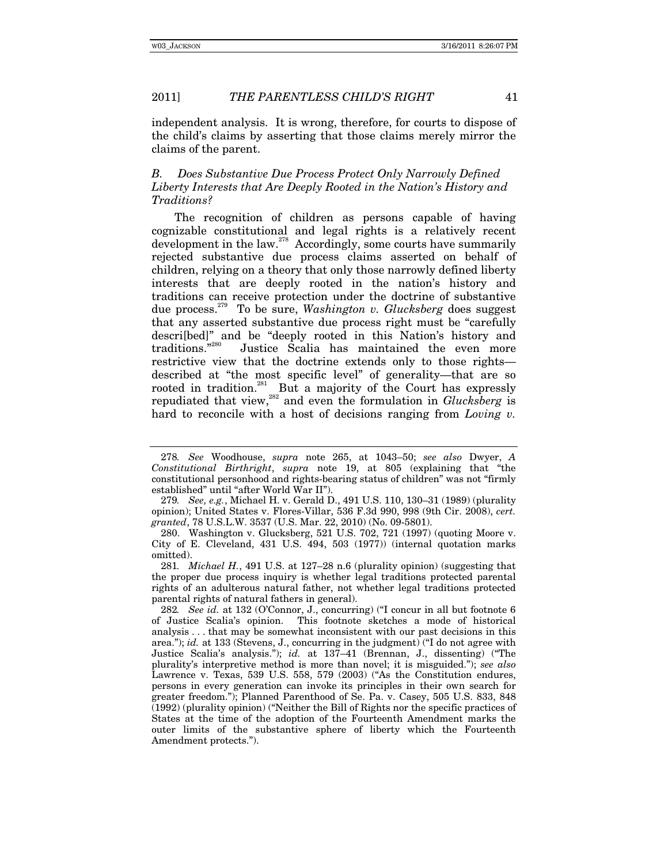independent analysis. It is wrong, therefore, for courts to dispose of the child's claims by asserting that those claims merely mirror the claims of the parent.

## *B. Does Substantive Due Process Protect Only Narrowly Defined Liberty Interests that Are Deeply Rooted in the Nation's History and Traditions?*

The recognition of children as persons capable of having cognizable constitutional and legal rights is a relatively recent development in the law.<sup>278</sup> Accordingly, some courts have summarily rejected substantive due process claims asserted on behalf of children, relying on a theory that only those narrowly defined liberty interests that are deeply rooted in the nation's history and traditions can receive protection under the doctrine of substantive due process.279 To be sure, *Washington v. Glucksberg* does suggest that any asserted substantive due process right must be "carefully descri[bed]" and be "deeply rooted in this Nation's history and traditions."<sup>280</sup> Justice Scalia has maintained the even more Justice Scalia has maintained the even more restrictive view that the doctrine extends only to those rights described at "the most specific level" of generality—that are so rooted in tradition.<sup>281</sup> But a majority of the Court has expressly repudiated that view,<sup>282</sup> and even the formulation in *Glucksberg* is hard to reconcile with a host of decisions ranging from *Loving v.* 

<sup>278</sup>*. See* Woodhouse, *supra* note 265, at 1043–50; *see also* Dwyer, *A Constitutional Birthright*, *supra* note 19, at 805 (explaining that "the constitutional personhood and rights-bearing status of children" was not "firmly established" until "after World War II").

<sup>279</sup>*. See, e.g.*, Michael H. v. Gerald D., 491 U.S. 110, 130–31 (1989) (plurality opinion); United States v. Flores-Villar, 536 F.3d 990, 998 (9th Cir. 2008), *cert. granted*, 78 U.S.L.W. 3537 (U.S. Mar. 22, 2010) (No. 09-5801).

 <sup>280.</sup> Washington v. Glucksberg, 521 U.S. 702, 721 (1997) (quoting Moore v. City of E. Cleveland, 431 U.S. 494, 503 (1977)) (internal quotation marks omitted).

<sup>281</sup>*. Michael H.*, 491 U.S. at 127–28 n.6 (plurality opinion) (suggesting that the proper due process inquiry is whether legal traditions protected parental rights of an adulterous natural father, not whether legal traditions protected parental rights of natural fathers in general).

<sup>282</sup>*. See id.* at 132 (O'Connor, J., concurring) ("I concur in all but footnote 6 of Justice Scalia's opinion. This footnote sketches a mode of historical analysis . . . that may be somewhat inconsistent with our past decisions in this area."); *id.* at 133 (Stevens, J., concurring in the judgment) ("I do not agree with Justice Scalia's analysis."); *id.* at 137–41 (Brennan, J., dissenting) ("The plurality's interpretive method is more than novel; it is misguided."); *see also* Lawrence v. Texas, 539 U.S. 558, 579 (2003) ("As the Constitution endures, persons in every generation can invoke its principles in their own search for greater freedom."); Planned Parenthood of Se. Pa. v. Casey, 505 U.S. 833, 848 (1992) (plurality opinion) ("Neither the Bill of Rights nor the specific practices of States at the time of the adoption of the Fourteenth Amendment marks the outer limits of the substantive sphere of liberty which the Fourteenth Amendment protects.").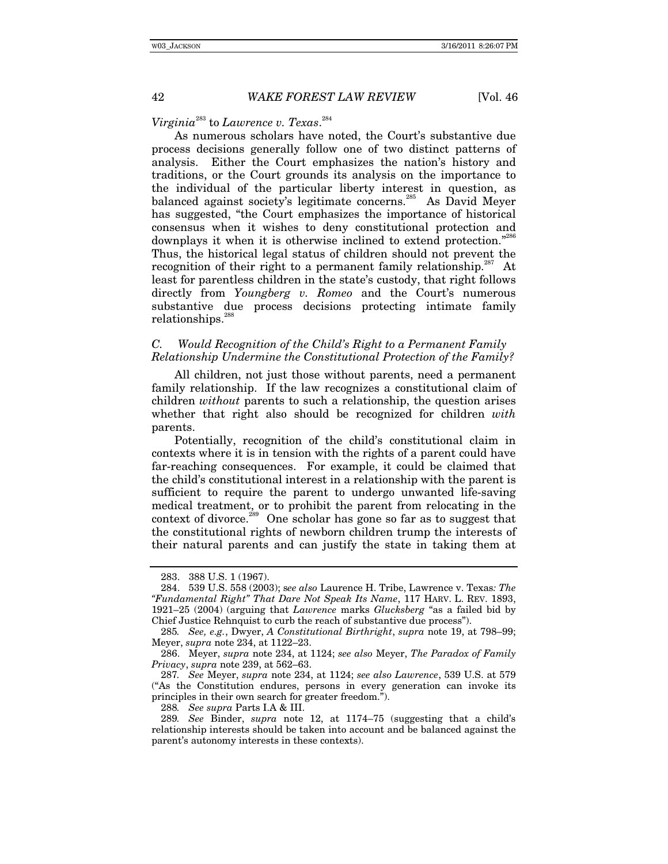*Virginia*283 to *Lawrence v. Texas*. 284

As numerous scholars have noted, the Court's substantive due process decisions generally follow one of two distinct patterns of analysis. Either the Court emphasizes the nation's history and traditions, or the Court grounds its analysis on the importance to the individual of the particular liberty interest in question, as balanced against society's legitimate concerns.<sup>285</sup> As David Meyer has suggested, "the Court emphasizes the importance of historical consensus when it wishes to deny constitutional protection and downplays it when it is otherwise inclined to extend protection."<sup>286</sup> Thus, the historical legal status of children should not prevent the recognition of their right to a permanent family relationship.<sup>287</sup> At least for parentless children in the state's custody, that right follows directly from *Youngberg v. Romeo* and the Court's numerous substantive due process decisions protecting intimate family relationships.<sup>28</sup>

## *C. Would Recognition of the Child's Right to a Permanent Family Relationship Undermine the Constitutional Protection of the Family?*

All children, not just those without parents, need a permanent family relationship. If the law recognizes a constitutional claim of children *without* parents to such a relationship, the question arises whether that right also should be recognized for children *with* parents.

Potentially, recognition of the child's constitutional claim in contexts where it is in tension with the rights of a parent could have far-reaching consequences. For example, it could be claimed that the child's constitutional interest in a relationship with the parent is sufficient to require the parent to undergo unwanted life-saving medical treatment, or to prohibit the parent from relocating in the context of divorce.289 One scholar has gone so far as to suggest that the constitutional rights of newborn children trump the interests of their natural parents and can justify the state in taking them at

 <sup>283. 388</sup> U.S. 1 (1967).

 <sup>284. 539</sup> U.S. 558 (2003); s*ee also* Laurence H. Tribe, Lawrence v. Texas*: The "Fundamental Right" That Dare Not Speak Its Name*, 117 HARV. L. REV. 1893, 1921–25 (2004) (arguing that *Lawrence* marks *Glucksberg* "as a failed bid by Chief Justice Rehnquist to curb the reach of substantive due process").

<sup>285</sup>*. See, e.g.*, Dwyer, *A Constitutional Birthright*, *supra* note 19, at 798–99; Meyer, *supra* note 234, at 1122–23.

 <sup>286.</sup> Meyer, *supra* note 234, at 1124; *see also* Meyer, *The Paradox of Family Privacy*, *supra* note 239, at 562–63.

<sup>287</sup>*. See* Meyer, *supra* note 234, at 1124; *see also Lawrence*, 539 U.S. at 579 ("As the Constitution endures, persons in every generation can invoke its principles in their own search for greater freedom.").

<sup>288</sup>*. See supra* Parts I.A & III.

<sup>289</sup>*. See* Binder, *supra* note 12, at 1174–75 (suggesting that a child's relationship interests should be taken into account and be balanced against the parent's autonomy interests in these contexts).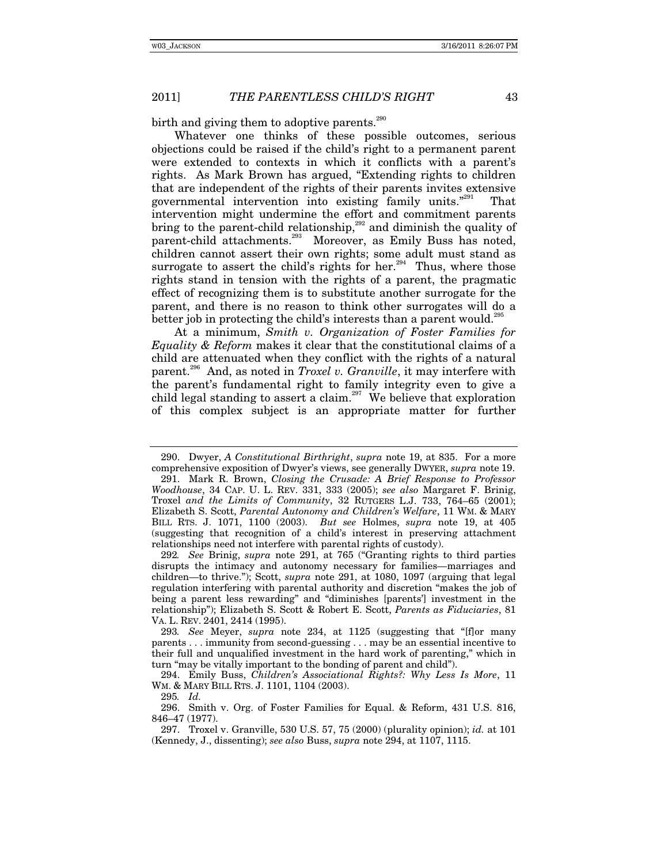birth and giving them to adoptive parents.<sup>290</sup>

Whatever one thinks of these possible outcomes, serious objections could be raised if the child's right to a permanent parent were extended to contexts in which it conflicts with a parent's rights. As Mark Brown has argued, "Extending rights to children that are independent of the rights of their parents invites extensive governmental intervention into existing family units."<sup>291</sup> That intervention might undermine the effort and commitment parents bring to the parent-child relationship,<sup>292</sup> and diminish the quality of parent-child attachments.<sup>293</sup> Moreover, as Emily Buss has noted, children cannot assert their own rights; some adult must stand as surrogate to assert the child's rights for her.<sup>294</sup> Thus, where those rights stand in tension with the rights of a parent, the pragmatic effect of recognizing them is to substitute another surrogate for the parent, and there is no reason to think other surrogates will do a better job in protecting the child's interests than a parent would.<sup>295</sup>

At a minimum, *Smith v. Organization of Foster Families for Equality & Reform* makes it clear that the constitutional claims of a child are attenuated when they conflict with the rights of a natural parent.296 And, as noted in *Troxel v. Granville*, it may interfere with the parent's fundamental right to family integrity even to give a child legal standing to assert a claim.<sup>297</sup> We believe that exploration of this complex subject is an appropriate matter for further

292*. See* Brinig, *supra* note 291, at 765 ("Granting rights to third parties disrupts the intimacy and autonomy necessary for families—marriages and children—to thrive."); Scott, *supra* note 291, at 1080, 1097 (arguing that legal regulation interfering with parental authority and discretion "makes the job of being a parent less rewarding" and "diminishes [parents'] investment in the relationship"); Elizabeth S. Scott & Robert E. Scott, *Parents as Fiduciaries*, 81 VA. L. REV. 2401, 2414 (1995).

 <sup>290.</sup> Dwyer, *A Constitutional Birthright*, *supra* note 19, at 835. For a more comprehensive exposition of Dwyer's views, see generally DWYER, *supra* note 19.

 <sup>291.</sup> Mark R. Brown, *Closing the Crusade: A Brief Response to Professor Woodhouse*, 34 CAP. U. L. REV. 331, 333 (2005); *see also* Margaret F. Brinig, Troxel *and the Limits of Community*, 32 RUTGERS L.J. 733, 764–65 (2001); Elizabeth S. Scott, *Parental Autonomy and Children's Welfare*, 11 WM. & MARY BILL RTS. J. 1071, 1100 (2003). *But see* Holmes, *supra* note 19, at 405 (suggesting that recognition of a child's interest in preserving attachment relationships need not interfere with parental rights of custody).

<sup>293</sup>*. See* Meyer, *supra* note 234, at 1125 (suggesting that "[f]or many parents . . . immunity from second-guessing . . . may be an essential incentive to their full and unqualified investment in the hard work of parenting," which in turn "may be vitally important to the bonding of parent and child").

 <sup>294.</sup> Emily Buss, *Children's Associational Rights?: Why Less Is More*, 11 WM. & MARY BILL RTS. J. 1101, 1104 (2003).

<sup>295</sup>*. Id.*

 <sup>296.</sup> Smith v. Org. of Foster Families for Equal. & Reform, 431 U.S. 816, 846–47 (1977).

 <sup>297.</sup> Troxel v. Granville, 530 U.S. 57, 75 (2000) (plurality opinion); *id.* at 101 (Kennedy, J., dissenting); *see also* Buss, *supra* note 294, at 1107, 1115.